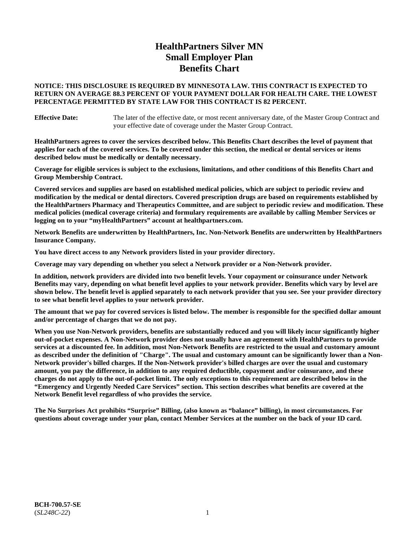# **HealthPartners Silver MN Small Employer Plan Benefits Chart**

### **NOTICE: THIS DISCLOSURE IS REQUIRED BY MINNESOTA LAW. THIS CONTRACT IS EXPECTED TO RETURN ON AVERAGE 88.3 PERCENT OF YOUR PAYMENT DOLLAR FOR HEALTH CARE. THE LOWEST PERCENTAGE PERMITTED BY STATE LAW FOR THIS CONTRACT IS 82 PERCENT.**

**Effective Date:** The later of the effective date, or most recent anniversary date, of the Master Group Contract and your effective date of coverage under the Master Group Contract.

**HealthPartners agrees to cover the services described below. This Benefits Chart describes the level of payment that applies for each of the covered services. To be covered under this section, the medical or dental services or items described below must be medically or dentally necessary.**

**Coverage for eligible services is subject to the exclusions, limitations, and other conditions of this Benefits Chart and Group Membership Contract.**

**Covered services and supplies are based on established medical policies, which are subject to periodic review and modification by the medical or dental directors. Covered prescription drugs are based on requirements established by the HealthPartners Pharmacy and Therapeutics Committee, and are subject to periodic review and modification. These medical policies (medical coverage criteria) and formulary requirements are available by calling Member Services or logging on to your "myHealthPartners" account at [healthpartners.com.](https://www.healthpartners.com/hp/index.html)**

**Network Benefits are underwritten by HealthPartners, Inc. Non-Network Benefits are underwritten by HealthPartners Insurance Company.** 

**You have direct access to any Network providers listed in your provider directory.**

**Coverage may vary depending on whether you select a Network provider or a Non-Network provider.**

**In addition, network providers are divided into two benefit levels. Your copayment or coinsurance under Network Benefits may vary, depending on what benefit level applies to your network provider. Benefits which vary by level are shown below. The benefit level is applied separately to each network provider that you see. See your provider directory to see what benefit level applies to your network provider.**

**The amount that we pay for covered services is listed below. The member is responsible for the specified dollar amount and/or percentage of charges that we do not pay.**

**When you use Non-Network providers, benefits are substantially reduced and you will likely incur significantly higher out-of-pocket expenses. A Non-Network provider does not usually have an agreement with HealthPartners to provide services at a discounted fee. In addition, most Non-Network Benefits are restricted to the usual and customary amount as described under the definition of "Charge". The usual and customary amount can be significantly lower than a Non-Network provider's billed charges. If the Non-Network provider's billed charges are over the usual and customary amount, you pay the difference, in addition to any required deductible, copayment and/or coinsurance, and these charges do not apply to the out-of-pocket limit. The only exceptions to this requirement are described below in the "Emergency and Urgently Needed Care Services" section. This section describes what benefits are covered at the Network Benefit level regardless of who provides the service.**

**The No Surprises Act prohibits "Surprise" Billing, (also known as "balance" billing), in most circumstances. For questions about coverage under your plan, contact Member Services at the number on the back of your ID card.**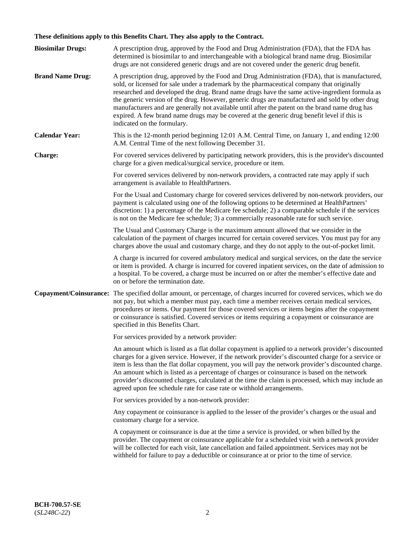# **These definitions apply to this Benefits Chart. They also apply to the Contract.**

| <b>Biosimilar Drugs:</b> | A prescription drug, approved by the Food and Drug Administration (FDA), that the FDA has<br>determined is biosimilar to and interchangeable with a biological brand name drug. Biosimilar<br>drugs are not considered generic drugs and are not covered under the generic drug benefit.                                                                                                                                                                                                                                                                                                                                           |
|--------------------------|------------------------------------------------------------------------------------------------------------------------------------------------------------------------------------------------------------------------------------------------------------------------------------------------------------------------------------------------------------------------------------------------------------------------------------------------------------------------------------------------------------------------------------------------------------------------------------------------------------------------------------|
| <b>Brand Name Drug:</b>  | A prescription drug, approved by the Food and Drug Administration (FDA), that is manufactured,<br>sold, or licensed for sale under a trademark by the pharmaceutical company that originally<br>researched and developed the drug. Brand name drugs have the same active-ingredient formula as<br>the generic version of the drug. However, generic drugs are manufactured and sold by other drug<br>manufacturers and are generally not available until after the patent on the brand name drug has<br>expired. A few brand name drugs may be covered at the generic drug benefit level if this is<br>indicated on the formulary. |
| <b>Calendar Year:</b>    | This is the 12-month period beginning 12:01 A.M. Central Time, on January 1, and ending 12:00<br>A.M. Central Time of the next following December 31.                                                                                                                                                                                                                                                                                                                                                                                                                                                                              |
| <b>Charge:</b>           | For covered services delivered by participating network providers, this is the provider's discounted<br>charge for a given medical/surgical service, procedure or item.                                                                                                                                                                                                                                                                                                                                                                                                                                                            |
|                          | For covered services delivered by non-network providers, a contracted rate may apply if such<br>arrangement is available to HealthPartners.                                                                                                                                                                                                                                                                                                                                                                                                                                                                                        |
|                          | For the Usual and Customary charge for covered services delivered by non-network providers, our<br>payment is calculated using one of the following options to be determined at HealthPartners'<br>discretion: 1) a percentage of the Medicare fee schedule; 2) a comparable schedule if the services<br>is not on the Medicare fee schedule; 3) a commercially reasonable rate for such service.                                                                                                                                                                                                                                  |
|                          | The Usual and Customary Charge is the maximum amount allowed that we consider in the<br>calculation of the payment of charges incurred for certain covered services. You must pay for any<br>charges above the usual and customary charge, and they do not apply to the out-of-pocket limit.                                                                                                                                                                                                                                                                                                                                       |
|                          | A charge is incurred for covered ambulatory medical and surgical services, on the date the service<br>or item is provided. A charge is incurred for covered inpatient services, on the date of admission to<br>a hospital. To be covered, a charge must be incurred on or after the member's effective date and<br>on or before the termination date.                                                                                                                                                                                                                                                                              |
| Copayment/Coinsurance:   | The specified dollar amount, or percentage, of charges incurred for covered services, which we do<br>not pay, but which a member must pay, each time a member receives certain medical services,<br>procedures or items. Our payment for those covered services or items begins after the copayment<br>or coinsurance is satisfied. Covered services or items requiring a copayment or coinsurance are<br>specified in this Benefits Chart.                                                                                                                                                                                        |
|                          | For services provided by a network provider:                                                                                                                                                                                                                                                                                                                                                                                                                                                                                                                                                                                       |
|                          | An amount which is listed as a flat dollar copayment is applied to a network provider's discounted<br>charges for a given service. However, if the network provider's discounted charge for a service or<br>item is less than the flat dollar copayment, you will pay the network provider's discounted charge.<br>An amount which is listed as a percentage of charges or coinsurance is based on the network<br>provider's discounted charges, calculated at the time the claim is processed, which may include an<br>agreed upon fee schedule rate for case rate or withhold arrangements.                                      |
|                          | For services provided by a non-network provider:                                                                                                                                                                                                                                                                                                                                                                                                                                                                                                                                                                                   |
|                          | Any copayment or coinsurance is applied to the lesser of the provider's charges or the usual and<br>customary charge for a service.                                                                                                                                                                                                                                                                                                                                                                                                                                                                                                |
|                          | A copayment or coinsurance is due at the time a service is provided, or when billed by the<br>provider. The copayment or coinsurance applicable for a scheduled visit with a network provider<br>will be collected for each visit, late cancellation and failed appointment. Services may not be<br>withheld for failure to pay a deductible or coinsurance at or prior to the time of service.                                                                                                                                                                                                                                    |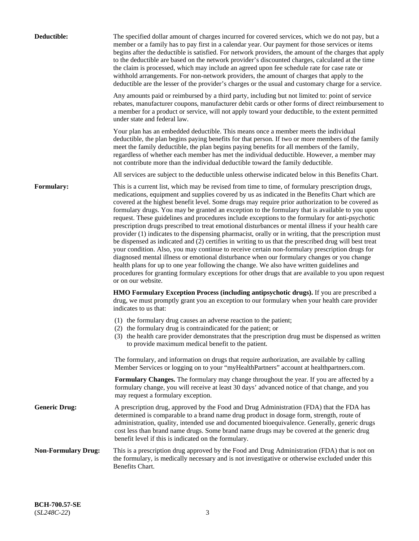| Deductible:                | The specified dollar amount of charges incurred for covered services, which we do not pay, but a<br>member or a family has to pay first in a calendar year. Our payment for those services or items<br>begins after the deductible is satisfied. For network providers, the amount of the charges that apply<br>to the deductible are based on the network provider's discounted charges, calculated at the time<br>the claim is processed, which may include an agreed upon fee schedule rate for case rate or<br>withhold arrangements. For non-network providers, the amount of charges that apply to the<br>deductible are the lesser of the provider's charges or the usual and customary charge for a service.                                                                                                                                                                                                                                                                                                                                                                                                                                                                                                                                             |
|----------------------------|------------------------------------------------------------------------------------------------------------------------------------------------------------------------------------------------------------------------------------------------------------------------------------------------------------------------------------------------------------------------------------------------------------------------------------------------------------------------------------------------------------------------------------------------------------------------------------------------------------------------------------------------------------------------------------------------------------------------------------------------------------------------------------------------------------------------------------------------------------------------------------------------------------------------------------------------------------------------------------------------------------------------------------------------------------------------------------------------------------------------------------------------------------------------------------------------------------------------------------------------------------------|
|                            | Any amounts paid or reimbursed by a third party, including but not limited to: point of service<br>rebates, manufacturer coupons, manufacturer debit cards or other forms of direct reimbursement to<br>a member for a product or service, will not apply toward your deductible, to the extent permitted<br>under state and federal law.                                                                                                                                                                                                                                                                                                                                                                                                                                                                                                                                                                                                                                                                                                                                                                                                                                                                                                                        |
|                            | Your plan has an embedded deductible. This means once a member meets the individual<br>deductible, the plan begins paying benefits for that person. If two or more members of the family<br>meet the family deductible, the plan begins paying benefits for all members of the family,<br>regardless of whether each member has met the individual deductible. However, a member may<br>not contribute more than the individual deductible toward the family deductible.                                                                                                                                                                                                                                                                                                                                                                                                                                                                                                                                                                                                                                                                                                                                                                                         |
|                            | All services are subject to the deductible unless otherwise indicated below in this Benefits Chart.                                                                                                                                                                                                                                                                                                                                                                                                                                                                                                                                                                                                                                                                                                                                                                                                                                                                                                                                                                                                                                                                                                                                                              |
| Formulary:                 | This is a current list, which may be revised from time to time, of formulary prescription drugs,<br>medications, equipment and supplies covered by us as indicated in the Benefits Chart which are<br>covered at the highest benefit level. Some drugs may require prior authorization to be covered as<br>formulary drugs. You may be granted an exception to the formulary that is available to you upon<br>request. These guidelines and procedures include exceptions to the formulary for anti-psychotic<br>prescription drugs prescribed to treat emotional disturbances or mental illness if your health care<br>provider (1) indicates to the dispensing pharmacist, orally or in writing, that the prescription must<br>be dispensed as indicated and (2) certifies in writing to us that the prescribed drug will best treat<br>your condition. Also, you may continue to receive certain non-formulary prescription drugs for<br>diagnosed mental illness or emotional disturbance when our formulary changes or you change<br>health plans for up to one year following the change. We also have written guidelines and<br>procedures for granting formulary exceptions for other drugs that are available to you upon request<br>or on our website. |
|                            | HMO Formulary Exception Process (including antipsychotic drugs). If you are prescribed a<br>drug, we must promptly grant you an exception to our formulary when your health care provider<br>indicates to us that:                                                                                                                                                                                                                                                                                                                                                                                                                                                                                                                                                                                                                                                                                                                                                                                                                                                                                                                                                                                                                                               |
|                            | (1) the formulary drug causes an adverse reaction to the patient;<br>(2) the formulary drug is contraindicated for the patient; or<br>(3) the health care provider demonstrates that the prescription drug must be dispensed as written<br>to provide maximum medical benefit to the patient.                                                                                                                                                                                                                                                                                                                                                                                                                                                                                                                                                                                                                                                                                                                                                                                                                                                                                                                                                                    |
|                            | The formulary, and information on drugs that require authorization, are available by calling<br>Member Services or logging on to your "myHealthPartners" account at healthpartners.com.                                                                                                                                                                                                                                                                                                                                                                                                                                                                                                                                                                                                                                                                                                                                                                                                                                                                                                                                                                                                                                                                          |
|                            | Formulary Changes. The formulary may change throughout the year. If you are affected by a<br>formulary change, you will receive at least 30 days' advanced notice of that change, and you<br>may request a formulary exception.                                                                                                                                                                                                                                                                                                                                                                                                                                                                                                                                                                                                                                                                                                                                                                                                                                                                                                                                                                                                                                  |
| <b>Generic Drug:</b>       | A prescription drug, approved by the Food and Drug Administration (FDA) that the FDA has<br>determined is comparable to a brand name drug product in dosage form, strength, route of<br>administration, quality, intended use and documented bioequivalence. Generally, generic drugs<br>cost less than brand name drugs. Some brand name drugs may be covered at the generic drug<br>benefit level if this is indicated on the formulary.                                                                                                                                                                                                                                                                                                                                                                                                                                                                                                                                                                                                                                                                                                                                                                                                                       |
| <b>Non-Formulary Drug:</b> | This is a prescription drug approved by the Food and Drug Administration (FDA) that is not on<br>the formulary, is medically necessary and is not investigative or otherwise excluded under this<br>Benefits Chart.                                                                                                                                                                                                                                                                                                                                                                                                                                                                                                                                                                                                                                                                                                                                                                                                                                                                                                                                                                                                                                              |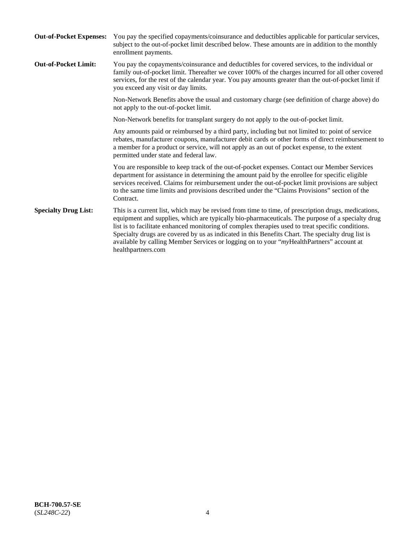| <b>Out-of-Pocket Expenses:</b> | You pay the specified copayments/coinsurance and deductibles applicable for particular services,<br>subject to the out-of-pocket limit described below. These amounts are in addition to the monthly<br>enrollment payments.                                                                                                                                                                                                                                                                                                        |
|--------------------------------|-------------------------------------------------------------------------------------------------------------------------------------------------------------------------------------------------------------------------------------------------------------------------------------------------------------------------------------------------------------------------------------------------------------------------------------------------------------------------------------------------------------------------------------|
| <b>Out-of-Pocket Limit:</b>    | You pay the copayments/coinsurance and deductibles for covered services, to the individual or<br>family out-of-pocket limit. Thereafter we cover 100% of the charges incurred for all other covered<br>services, for the rest of the calendar year. You pay amounts greater than the out-of-pocket limit if<br>you exceed any visit or day limits.                                                                                                                                                                                  |
|                                | Non-Network Benefits above the usual and customary charge (see definition of charge above) do<br>not apply to the out-of-pocket limit.                                                                                                                                                                                                                                                                                                                                                                                              |
|                                | Non-Network benefits for transplant surgery do not apply to the out-of-pocket limit.                                                                                                                                                                                                                                                                                                                                                                                                                                                |
|                                | Any amounts paid or reimbursed by a third party, including but not limited to: point of service<br>rebates, manufacturer coupons, manufacturer debit cards or other forms of direct reimbursement to<br>a member for a product or service, will not apply as an out of pocket expense, to the extent<br>permitted under state and federal law.                                                                                                                                                                                      |
|                                | You are responsible to keep track of the out-of-pocket expenses. Contact our Member Services<br>department for assistance in determining the amount paid by the enrollee for specific eligible<br>services received. Claims for reimbursement under the out-of-pocket limit provisions are subject<br>to the same time limits and provisions described under the "Claims Provisions" section of the<br>Contract.                                                                                                                    |
| <b>Specialty Drug List:</b>    | This is a current list, which may be revised from time to time, of prescription drugs, medications,<br>equipment and supplies, which are typically bio-pharmaceuticals. The purpose of a specialty drug<br>list is to facilitate enhanced monitoring of complex therapies used to treat specific conditions.<br>Specialty drugs are covered by us as indicated in this Benefits Chart. The specialty drug list is<br>available by calling Member Services or logging on to your "myHealthPartners" account at<br>healthpartners.com |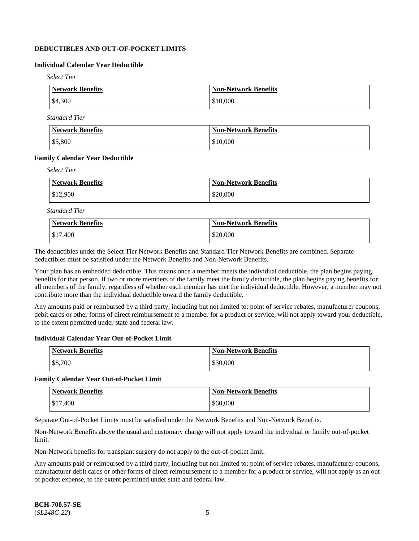# **DEDUCTIBLES AND OUT-OF-POCKET LIMITS**

# **Individual Calendar Year Deductible**

*Select Tier*

| Network Benefits  | <b>Non-Network Benefits</b> |
|-------------------|-----------------------------|
| $\frac{$4,300}{}$ | \$10,000                    |

*Standard Tier*

| Network Benefits | <b>Non-Network Benefits</b> |
|------------------|-----------------------------|
| \$5,800          | \$10,000                    |

#### **Family Calendar Year Deductible**

*Select Tier*

| Network Benefits | <b>Non-Network Benefits</b> |
|------------------|-----------------------------|
| $\$12,900$       | \$20,000                    |

*Standard Tier*

| <b>Network Benefits</b> | <b>Non-Network Benefits</b> |
|-------------------------|-----------------------------|
| \$17,400                | \$20,000                    |

The deductibles under the Select Tier Network Benefits and Standard Tier Network Benefits are combined. Separate deductibles must be satisfied under the Network Benefits and Non-Network Benefits.

Your plan has an embedded deductible. This means once a member meets the individual deductible, the plan begins paying benefits for that person. If two or more members of the family meet the family deductible, the plan begins paying benefits for all members of the family, regardless of whether each member has met the individual deductible. However, a member may not contribute more than the individual deductible toward the family deductible.

Any amounts paid or reimbursed by a third party, including but not limited to: point of service rebates, manufacturer coupons, debit cards or other forms of direct reimbursement to a member for a product or service, will not apply toward your deductible, to the extent permitted under state and federal law.

#### **Individual Calendar Year Out-of-Pocket Limit**

| Network Benefits | <b>Non-Network Benefits</b> |
|------------------|-----------------------------|
| \$8,700          | \$30,000                    |

#### **Family Calendar Year Out-of-Pocket Limit**

| <b>Network Benefits</b> | <b>Non-Network Benefits</b> |
|-------------------------|-----------------------------|
| \$17,400                | \$60,000                    |

Separate Out-of-Pocket Limits must be satisfied under the Network Benefits and Non-Network Benefits.

Non-Network Benefits above the usual and customary charge will not apply toward the individual or family out-of-pocket limit.

Non-Network benefits for transplant surgery do not apply to the out-of-pocket limit.

Any amounts paid or reimbursed by a third party, including but not limited to: point of service rebates, manufacturer coupons, manufacturer debit cards or other forms of direct reimbursement to a member for a product or service, will not apply as an out of pocket expense, to the extent permitted under state and federal law.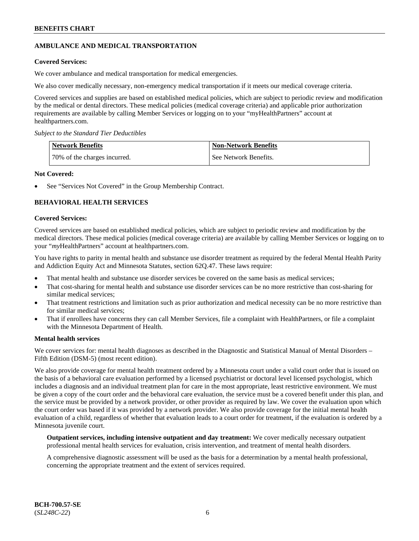# **AMBULANCE AND MEDICAL TRANSPORTATION**

### **Covered Services:**

We cover ambulance and medical transportation for medical emergencies.

We also cover medically necessary, non-emergency medical transportation if it meets our medical coverage criteria.

Covered services and supplies are based on established medical policies, which are subject to periodic review and modification by the medical or dental directors. These medical policies (medical coverage criteria) and applicable prior authorization requirements are available by calling Member Services or logging on to your "myHealthPartners" account at [healthpartners.com.](https://www.healthpartners.com/hp/index.html)

*Subject to the Standard Tier Deductibles*

| <b>Network Benefits</b>      | <b>Non-Network Benefits</b> |
|------------------------------|-----------------------------|
| 70% of the charges incurred. | See Network Benefits.       |

#### **Not Covered:**

See "Services Not Covered" in the Group Membership Contract.

# **BEHAVIORAL HEALTH SERVICES**

#### **Covered Services:**

Covered services are based on established medical policies, which are subject to periodic review and modification by the medical directors. These medical policies (medical coverage criteria) are available by calling Member Services or logging on to your "*my*HealthPartners" account at [healthpartners.com.](http://www.healthpartners.com/)

You have rights to parity in mental health and substance use disorder treatment as required by the federal Mental Health Parity and Addiction Equity Act and Minnesota Statutes, section 62Q.47. These laws require:

- That mental health and substance use disorder services be covered on the same basis as medical services;
- That cost-sharing for mental health and substance use disorder services can be no more restrictive than cost-sharing for similar medical services;
- That treatment restrictions and limitation such as prior authorization and medical necessity can be no more restrictive than for similar medical services;
- That if enrollees have concerns they can call Member Services, file a complaint with HealthPartners, or file a complaint with the Minnesota Department of Health.

#### **Mental health services**

We cover services for: mental health diagnoses as described in the Diagnostic and Statistical Manual of Mental Disorders – Fifth Edition (DSM-5) (most recent edition).

We also provide coverage for mental health treatment ordered by a Minnesota court under a valid court order that is issued on the basis of a behavioral care evaluation performed by a licensed psychiatrist or doctoral level licensed psychologist, which includes a diagnosis and an individual treatment plan for care in the most appropriate, least restrictive environment. We must be given a copy of the court order and the behavioral care evaluation, the service must be a covered benefit under this plan, and the service must be provided by a network provider, or other provider as required by law. We cover the evaluation upon which the court order was based if it was provided by a network provider. We also provide coverage for the initial mental health evaluation of a child, regardless of whether that evaluation leads to a court order for treatment, if the evaluation is ordered by a Minnesota juvenile court.

**Outpatient services, including intensive outpatient and day treatment:** We cover medically necessary outpatient professional mental health services for evaluation, crisis intervention, and treatment of mental health disorders.

A comprehensive diagnostic assessment will be used as the basis for a determination by a mental health professional, concerning the appropriate treatment and the extent of services required.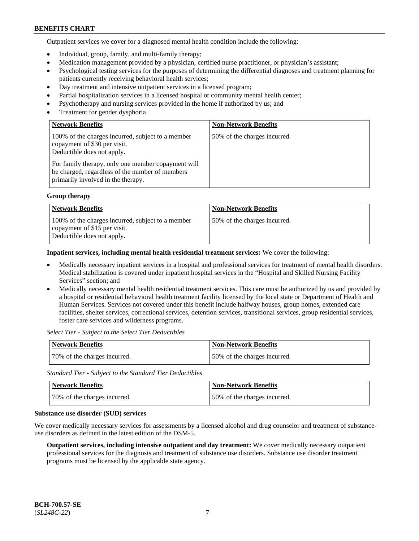Outpatient services we cover for a diagnosed mental health condition include the following:

- Individual, group, family, and multi-family therapy;
- Medication management provided by a physician, certified nurse practitioner, or physician's assistant;
- Psychological testing services for the purposes of determining the differential diagnoses and treatment planning for patients currently receiving behavioral health services;
- Day treatment and intensive outpatient services in a licensed program;
- Partial hospitalization services in a licensed hospital or community mental health center;
- Psychotherapy and nursing services provided in the home if authorized by us; and
- Treatment for gender dysphoria.

| <b>Network Benefits</b>                                                                                                                                                                                                                                        | <b>Non-Network Benefits</b>  |
|----------------------------------------------------------------------------------------------------------------------------------------------------------------------------------------------------------------------------------------------------------------|------------------------------|
| 100% of the charges incurred, subject to a member<br>copayment of \$30 per visit.<br>Deductible does not apply.<br>For family therapy, only one member copayment will<br>be charged, regardless of the number of members<br>primarily involved in the therapy. | 50% of the charges incurred. |

#### **Group therapy**

| <b>Network Benefits</b>                                                                                         | <b>Non-Network Benefits</b>  |
|-----------------------------------------------------------------------------------------------------------------|------------------------------|
| 100% of the charges incurred, subject to a member<br>copayment of \$15 per visit.<br>Deductible does not apply. | 50% of the charges incurred. |

**Inpatient services, including mental health residential treatment services:** We cover the following:

- Medically necessary inpatient services in a hospital and professional services for treatment of mental health disorders. Medical stabilization is covered under inpatient hospital services in the "Hospital and Skilled Nursing Facility Services" section; and
- Medically necessary mental health residential treatment services. This care must be authorized by us and provided by a hospital or residential behavioral health treatment facility licensed by the local state or Department of Health and Human Services. Services not covered under this benefit include halfway houses, group homes, extended care facilities, shelter services, correctional services, detention services, transitional services, group residential services, foster care services and wilderness programs.

*Select Tier - Subject to the Select Tier Deductibles*

| Network Benefits             | <b>Non-Network Benefits</b>  |
|------------------------------|------------------------------|
| 70% of the charges incurred. | 50% of the charges incurred. |

*Standard Tier - Subject to the Standard Tier Deductibles*

| Network Benefits             | <b>Non-Network Benefits</b>  |
|------------------------------|------------------------------|
| 70% of the charges incurred. | 50% of the charges incurred. |

#### **Substance use disorder (SUD) services**

We cover medically necessary services for assessments by a licensed alcohol and drug counselor and treatment of substanceuse disorders as defined in the latest edition of the DSM-5.

**Outpatient services, including intensive outpatient and day treatment:** We cover medically necessary outpatient professional services for the diagnosis and treatment of substance use disorders. Substance use disorder treatment programs must be licensed by the applicable state agency.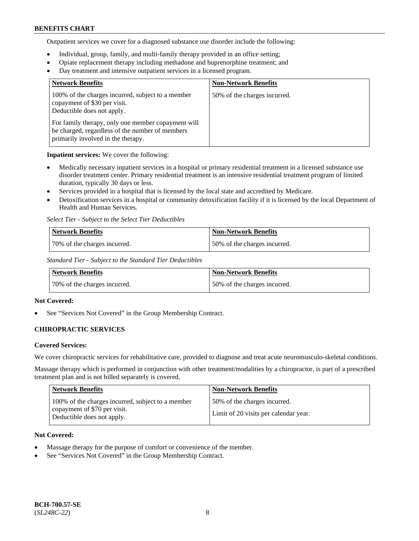Outpatient services we cover for a diagnosed substance use disorder include the following:

- Individual, group, family, and multi-family therapy provided in an office setting;
- Opiate replacement therapy including methadone and buprenorphine treatment; and
- Day treatment and intensive outpatient services in a licensed program.

| <b>Network Benefits</b>                                                                                                                     | <b>Non-Network Benefits</b>  |
|---------------------------------------------------------------------------------------------------------------------------------------------|------------------------------|
| 100% of the charges incurred, subject to a member<br>copayment of \$30 per visit.<br>Deductible does not apply.                             | 50% of the charges incurred. |
| For family therapy, only one member copayment will<br>be charged, regardless of the number of members<br>primarily involved in the therapy. |                              |

**Inpatient services:** We cover the following:

- Medically necessary inpatient services in a hospital or primary residential treatment in a licensed substance use disorder treatment center. Primary residential treatment is an intensive residential treatment program of limited duration, typically 30 days or less.
- Services provided in a hospital that is licensed by the local state and accredited by Medicare.
- Detoxification services in a hospital or community detoxification facility if it is licensed by the local Department of Health and Human Services.

*Select Tier - Subject to the Select Tier Deductibles*

| Network Benefits             | <b>Non-Network Benefits</b>  |
|------------------------------|------------------------------|
| 70% of the charges incurred. | 50% of the charges incurred. |

*Standard Tier - Subject to the Standard Tier Deductibles*

| Network Benefits             | Non-Network Benefits         |
|------------------------------|------------------------------|
| 70% of the charges incurred. | 50% of the charges incurred. |

### **Not Covered:**

See "Services Not Covered" in the Group Membership Contract.

# **CHIROPRACTIC SERVICES**

### **Covered Services:**

We cover chiropractic services for rehabilitative care, provided to diagnose and treat acute neuromusculo-skeletal conditions.

Massage therapy which is performed in conjunction with other treatment/modalities by a chiropractor, is part of a prescribed treatment plan and is not billed separately is covered.

| Network Benefits                                                                                                | <b>Non-Network Benefits</b>                                           |
|-----------------------------------------------------------------------------------------------------------------|-----------------------------------------------------------------------|
| 100% of the charges incurred, subject to a member<br>copayment of \$70 per visit.<br>Deductible does not apply. | 50% of the charges incurred.<br>Limit of 20 visits per calendar year. |

### **Not Covered:**

- Massage therapy for the purpose of comfort or convenience of the member.
- See "Services Not Covered" in the Group Membership Contract.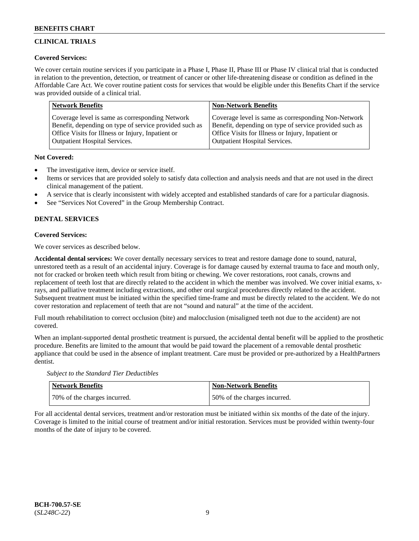# **CLINICAL TRIALS**

### **Covered Services:**

We cover certain routine services if you participate in a Phase I, Phase II, Phase III or Phase IV clinical trial that is conducted in relation to the prevention, detection, or treatment of cancer or other life-threatening disease or condition as defined in the Affordable Care Act. We cover routine patient costs for services that would be eligible under this Benefits Chart if the service was provided outside of a clinical trial.

| <b>Network Benefits</b>                                | <b>Non-Network Benefits</b>                            |
|--------------------------------------------------------|--------------------------------------------------------|
| Coverage level is same as corresponding Network        | Coverage level is same as corresponding Non-Network    |
| Benefit, depending on type of service provided such as | Benefit, depending on type of service provided such as |
| Office Visits for Illness or Injury, Inpatient or      | Office Visits for Illness or Injury, Inpatient or      |
| <b>Outpatient Hospital Services.</b>                   | <b>Outpatient Hospital Services.</b>                   |

### **Not Covered:**

- The investigative item, device or service itself.
- Items or services that are provided solely to satisfy data collection and analysis needs and that are not used in the direct clinical management of the patient.
- A service that is clearly inconsistent with widely accepted and established standards of care for a particular diagnosis.
- See "Services Not Covered" in the Group Membership Contract.

# **DENTAL SERVICES**

# **Covered Services:**

We cover services as described below.

**Accidental dental services:** We cover dentally necessary services to treat and restore damage done to sound, natural, unrestored teeth as a result of an accidental injury. Coverage is for damage caused by external trauma to face and mouth only, not for cracked or broken teeth which result from biting or chewing. We cover restorations, root canals, crowns and replacement of teeth lost that are directly related to the accident in which the member was involved. We cover initial exams, xrays, and palliative treatment including extractions, and other oral surgical procedures directly related to the accident. Subsequent treatment must be initiated within the specified time-frame and must be directly related to the accident. We do not cover restoration and replacement of teeth that are not "sound and natural" at the time of the accident.

Full mouth rehabilitation to correct occlusion (bite) and malocclusion (misaligned teeth not due to the accident) are not covered.

When an implant-supported dental prosthetic treatment is pursued, the accidental dental benefit will be applied to the prosthetic procedure. Benefits are limited to the amount that would be paid toward the placement of a removable dental prosthetic appliance that could be used in the absence of implant treatment. Care must be provided or pre-authorized by a HealthPartners dentist.

*Subject to the Standard Tier Deductibles*

| <b>Network Benefits</b>      | <b>Non-Network Benefits</b>  |
|------------------------------|------------------------------|
| 70% of the charges incurred. | 50% of the charges incurred. |

For all accidental dental services, treatment and/or restoration must be initiated within six months of the date of the injury. Coverage is limited to the initial course of treatment and/or initial restoration. Services must be provided within twenty-four months of the date of injury to be covered.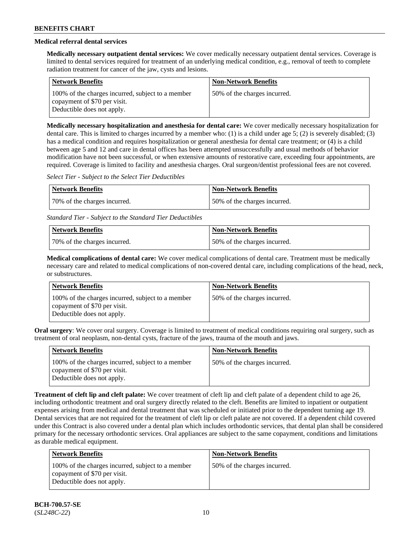# **Medical referral dental services**

**Medically necessary outpatient dental services:** We cover medically necessary outpatient dental services. Coverage is limited to dental services required for treatment of an underlying medical condition, e.g., removal of teeth to complete radiation treatment for cancer of the jaw, cysts and lesions.

| <b>Network Benefits</b>                                                                                         | <b>Non-Network Benefits</b>  |
|-----------------------------------------------------------------------------------------------------------------|------------------------------|
| 100% of the charges incurred, subject to a member<br>copayment of \$70 per visit.<br>Deductible does not apply. | 50% of the charges incurred. |

**Medically necessary hospitalization and anesthesia for dental care:** We cover medically necessary hospitalization for dental care. This is limited to charges incurred by a member who: (1) is a child under age 5; (2) is severely disabled; (3) has a medical condition and requires hospitalization or general anesthesia for dental care treatment; or (4) is a child between age 5 and 12 and care in dental offices has been attempted unsuccessfully and usual methods of behavior modification have not been successful, or when extensive amounts of restorative care, exceeding four appointments, are required. Coverage is limited to facility and anesthesia charges. Oral surgeon/dentist professional fees are not covered.

*Select Tier - Subject to the Select Tier Deductibles*

| Network Benefits             | <b>Non-Network Benefits</b>  |
|------------------------------|------------------------------|
| 70% of the charges incurred. | 50% of the charges incurred. |

*Standard Tier - Subject to the Standard Tier Deductibles*

| Network Benefits             | <b>Non-Network Benefits</b>  |
|------------------------------|------------------------------|
| 70% of the charges incurred. | 50% of the charges incurred. |

**Medical complications of dental care:** We cover medical complications of dental care. Treatment must be medically necessary care and related to medical complications of non-covered dental care, including complications of the head, neck, or substructures.

| <b>Network Benefits</b>                                                                                         | <b>Non-Network Benefits</b>  |
|-----------------------------------------------------------------------------------------------------------------|------------------------------|
| 100% of the charges incurred, subject to a member<br>copayment of \$70 per visit.<br>Deductible does not apply. | 50% of the charges incurred. |

**Oral surgery**: We cover oral surgery. Coverage is limited to treatment of medical conditions requiring oral surgery, such as treatment of oral neoplasm, non-dental cysts, fracture of the jaws, trauma of the mouth and jaws.

| Network Benefits                                                                                                | <b>Non-Network Benefits</b>  |
|-----------------------------------------------------------------------------------------------------------------|------------------------------|
| 100% of the charges incurred, subject to a member<br>copayment of \$70 per visit.<br>Deductible does not apply. | 50% of the charges incurred. |

**Treatment of cleft lip and cleft palate:** We cover treatment of cleft lip and cleft palate of a dependent child to age 26, including orthodontic treatment and oral surgery directly related to the cleft. Benefits are limited to inpatient or outpatient expenses arising from medical and dental treatment that was scheduled or initiated prior to the dependent turning age 19. Dental services that are not required for the treatment of cleft lip or cleft palate are not covered. If a dependent child covered under this Contract is also covered under a dental plan which includes orthodontic services, that dental plan shall be considered primary for the necessary orthodontic services. Oral appliances are subject to the same copayment, conditions and limitations as durable medical equipment.

| Network Benefits                                                                                                | <b>Non-Network Benefits</b>  |
|-----------------------------------------------------------------------------------------------------------------|------------------------------|
| 100% of the charges incurred, subject to a member<br>copayment of \$70 per visit.<br>Deductible does not apply. | 50% of the charges incurred. |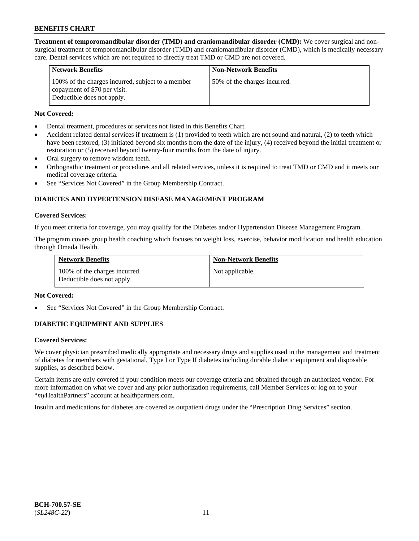**Treatment of temporomandibular disorder (TMD) and craniomandibular disorder (CMD):** We cover surgical and nonsurgical treatment of temporomandibular disorder (TMD) and craniomandibular disorder (CMD), which is medically necessary care. Dental services which are not required to directly treat TMD or CMD are not covered.

| <b>Network Benefits</b>                                                                                         | <b>Non-Network Benefits</b>  |
|-----------------------------------------------------------------------------------------------------------------|------------------------------|
| 100% of the charges incurred, subject to a member<br>copayment of \$70 per visit.<br>Deductible does not apply. | 50% of the charges incurred. |

### **Not Covered:**

- Dental treatment, procedures or services not listed in this Benefits Chart.
- Accident related dental services if treatment is (1) provided to teeth which are not sound and natural, (2) to teeth which have been restored, (3) initiated beyond six months from the date of the injury, (4) received beyond the initial treatment or restoration or (5) received beyond twenty-four months from the date of injury.
- Oral surgery to remove wisdom teeth.
- Orthognathic treatment or procedures and all related services, unless it is required to treat TMD or CMD and it meets our medical coverage criteria.
- See "Services Not Covered" in the Group Membership Contract.

# **DIABETES AND HYPERTENSION DISEASE MANAGEMENT PROGRAM**

#### **Covered Services:**

If you meet criteria for coverage, you may qualify for the Diabetes and/or Hypertension Disease Management Program.

The program covers group health coaching which focuses on weight loss, exercise, behavior modification and health education through Omada Health.

| <b>Network Benefits</b>                                     | <b>Non-Network Benefits</b> |
|-------------------------------------------------------------|-----------------------------|
| 100% of the charges incurred.<br>Deductible does not apply. | Not applicable.             |

### **Not Covered:**

See "Services Not Covered" in the Group Membership Contract.

### **DIABETIC EQUIPMENT AND SUPPLIES**

### **Covered Services:**

We cover physician prescribed medically appropriate and necessary drugs and supplies used in the management and treatment of diabetes for members with gestational, Type I or Type II diabetes including durable diabetic equipment and disposable supplies, as described below.

Certain items are only covered if your condition meets our coverage criteria and obtained through an authorized vendor. For more information on what we cover and any prior authorization requirements, call Member Services or log on to your "*my*HealthPartners" account at [healthpartners.com.](http://www.healthpartners.com/)

Insulin and medications for diabetes are covered as outpatient drugs under the "Prescription Drug Services" section.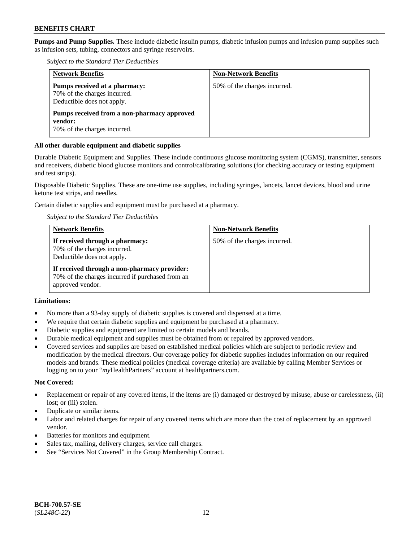**Pumps and Pump Supplies.** These include diabetic insulin pumps, diabetic infusion pumps and infusion pump supplies such as infusion sets, tubing, connectors and syringe reservoirs.

*Subject to the Standard Tier Deductibles*

| <b>Network Benefits</b>                                                                     | <b>Non-Network Benefits</b>  |
|---------------------------------------------------------------------------------------------|------------------------------|
| Pumps received at a pharmacy:<br>70% of the charges incurred.<br>Deductible does not apply. | 50% of the charges incurred. |
| Pumps received from a non-pharmacy approved<br>vendor:<br>70% of the charges incurred.      |                              |

### **All other durable equipment and diabetic supplies**

Durable Diabetic Equipment and Supplies. These include continuous glucose monitoring system (CGMS), transmitter, sensors and receivers, diabetic blood glucose monitors and control/calibrating solutions (for checking accuracy or testing equipment and test strips).

Disposable Diabetic Supplies. These are one-time use supplies, including syringes, lancets, lancet devices, blood and urine ketone test strips, and needles.

Certain diabetic supplies and equipment must be purchased at a pharmacy.

*Subject to the Standard Tier Deductibles*

| <b>Network Benefits</b>                                                                                              | <b>Non-Network Benefits</b>  |
|----------------------------------------------------------------------------------------------------------------------|------------------------------|
| If received through a pharmacy:<br>70% of the charges incurred.<br>Deductible does not apply.                        | 50% of the charges incurred. |
| If received through a non-pharmacy provider:<br>70% of the charges incurred if purchased from an<br>approved vendor. |                              |

### **Limitations:**

- No more than a 93-day supply of diabetic supplies is covered and dispensed at a time.
- We require that certain diabetic supplies and equipment be purchased at a pharmacy.
- Diabetic supplies and equipment are limited to certain models and brands.
- Durable medical equipment and supplies must be obtained from or repaired by approved vendors.
- Covered services and supplies are based on established medical policies which are subject to periodic review and modification by the medical directors. Our coverage policy for diabetic supplies includes information on our required models and brands. These medical policies (medical coverage criteria) are available by calling Member Services or logging on to your "*my*HealthPartners" account at [healthpartners.com.](http://www.healthpartners.com/)

#### **Not Covered:**

- Replacement or repair of any covered items, if the items are (i) damaged or destroyed by misuse, abuse or carelessness, (ii) lost; or (iii) stolen.
- Duplicate or similar items.
- Labor and related charges for repair of any covered items which are more than the cost of replacement by an approved vendor.
- Batteries for monitors and equipment.
- Sales tax, mailing, delivery charges, service call charges.
- See "Services Not Covered" in the Group Membership Contract.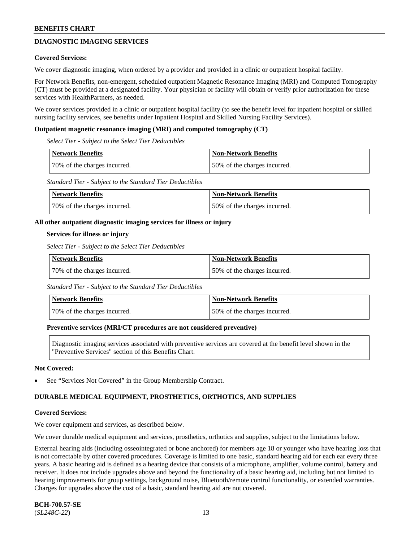# **DIAGNOSTIC IMAGING SERVICES**

#### **Covered Services:**

We cover diagnostic imaging, when ordered by a provider and provided in a clinic or outpatient hospital facility.

For Network Benefits, non-emergent, scheduled outpatient Magnetic Resonance Imaging (MRI) and Computed Tomography (CT) must be provided at a designated facility. Your physician or facility will obtain or verify prior authorization for these services with HealthPartners, as needed.

We cover services provided in a clinic or outpatient hospital facility (to see the benefit level for inpatient hospital or skilled nursing facility services, see benefits under Inpatient Hospital and Skilled Nursing Facility Services).

#### **Outpatient magnetic resonance imaging (MRI) and computed tomography (CT)**

*Select Tier - Subject to the Select Tier Deductibles*

| <b>Network Benefits</b>      | <b>Non-Network Benefits</b>  |
|------------------------------|------------------------------|
| 70% of the charges incurred. | 50% of the charges incurred. |

*Standard Tier - Subject to the Standard Tier Deductibles*

| <b>Network Benefits</b>      | <b>Non-Network Benefits</b>  |
|------------------------------|------------------------------|
| 70% of the charges incurred. | 50% of the charges incurred. |

#### **All other outpatient diagnostic imaging services for illness or injury**

#### **Services for illness or injury**

*Select Tier - Subject to the Select Tier Deductibles*

| Network Benefits             | Non-Network Benefits         |
|------------------------------|------------------------------|
| 70% of the charges incurred. | 50% of the charges incurred. |

*Standard Tier - Subject to the Standard Tier Deductibles*

| Network Benefits             | Non-Network Benefits         |
|------------------------------|------------------------------|
| 70% of the charges incurred. | 50% of the charges incurred. |

#### **Preventive services (MRI/CT procedures are not considered preventive)**

Diagnostic imaging services associated with preventive services are covered at the benefit level shown in the "Preventive Services" section of this Benefits Chart.

#### **Not Covered:**

See "Services Not Covered" in the Group Membership Contract.

### **DURABLE MEDICAL EQUIPMENT, PROSTHETICS, ORTHOTICS, AND SUPPLIES**

#### **Covered Services:**

We cover equipment and services, as described below.

We cover durable medical equipment and services, prosthetics, orthotics and supplies, subject to the limitations below.

External hearing aids (including osseointegrated or bone anchored) for members age 18 or younger who have hearing loss that is not correctable by other covered procedures. Coverage is limited to one basic, standard hearing aid for each ear every three years. A basic hearing aid is defined as a hearing device that consists of a microphone, amplifier, volume control, battery and receiver. It does not include upgrades above and beyond the functionality of a basic hearing aid, including but not limited to hearing improvements for group settings, background noise, Bluetooth/remote control functionality, or extended warranties. Charges for upgrades above the cost of a basic, standard hearing aid are not covered.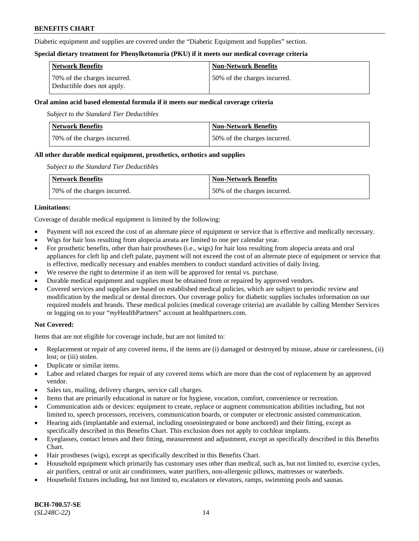Diabetic equipment and supplies are covered under the "Diabetic Equipment and Supplies" section.

#### **Special dietary treatment for Phenylketonuria (PKU) if it meets our medical coverage criteria**

| <b>Network Benefits</b>                                    | <b>Non-Network Benefits</b>   |
|------------------------------------------------------------|-------------------------------|
| 70% of the charges incurred.<br>Deductible does not apply. | 150% of the charges incurred. |

### **Oral amino acid based elemental formula if it meets our medical coverage criteria**

*Subject to the Standard Tier Deductibles*

| <b>Network Benefits</b>      | <b>Non-Network Benefits</b>  |
|------------------------------|------------------------------|
| 70% of the charges incurred. | 50% of the charges incurred. |

### **All other durable medical equipment, prosthetics, orthotics and supplies**

*Subject to the Standard Tier Deductibles*

| <b>Network Benefits</b>      | <b>Non-Network Benefits</b>   |
|------------------------------|-------------------------------|
| 70% of the charges incurred. | 150% of the charges incurred. |

### **Limitations:**

Coverage of durable medical equipment is limited by the following:

- Payment will not exceed the cost of an alternate piece of equipment or service that is effective and medically necessary.
- Wigs for hair loss resulting from alopecia areata are limited to one per calendar year.
- For prosthetic benefits, other than hair prostheses (i.e., wigs) for hair loss resulting from alopecia areata and oral appliances for cleft lip and cleft palate, payment will not exceed the cost of an alternate piece of equipment or service that is effective, medically necessary and enables members to conduct standard activities of daily living.
- We reserve the right to determine if an item will be approved for rental vs. purchase.
- Durable medical equipment and supplies must be obtained from or repaired by approved vendors.
- Covered services and supplies are based on established medical policies, which are subject to periodic review and modification by the medical or dental directors. Our coverage policy for diabetic supplies includes information on our required models and brands. These medical policies (medical coverage criteria) are available by calling Member Services or logging on to your "*my*HealthPartners" account a[t healthpartners.com.](https://www.healthpartners.com/hp/index.html)

### **Not Covered:**

Items that are not eligible for coverage include, but are not limited to:

- Replacement or repair of any covered items, if the items are (i) damaged or destroyed by misuse, abuse or carelessness, (ii) lost; or (iii) stolen.
- Duplicate or similar items.
- Labor and related charges for repair of any covered items which are more than the cost of replacement by an approved vendor.
- Sales tax, mailing, delivery charges, service call charges.
- Items that are primarily educational in nature or for hygiene, vocation, comfort, convenience or recreation.
- Communication aids or devices: equipment to create, replace or augment communication abilities including, but not limited to, speech processors, receivers, communication boards, or computer or electronic assisted communication.
- Hearing aids (implantable and external, including osseointegrated or bone anchored) and their fitting, except as specifically described in this Benefits Chart. This exclusion does not apply to cochlear implants.
- Eyeglasses, contact lenses and their fitting, measurement and adjustment, except as specifically described in this Benefits Chart.
- Hair prostheses (wigs), except as specifically described in this Benefits Chart.
- Household equipment which primarily has customary uses other than medical, such as, but not limited to, exercise cycles, air purifiers, central or unit air conditioners, water purifiers, non-allergenic pillows, mattresses or waterbeds.
- Household fixtures including, but not limited to, escalators or elevators, ramps, swimming pools and saunas.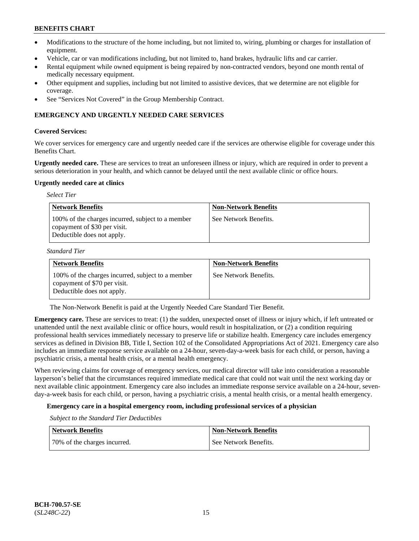- Modifications to the structure of the home including, but not limited to, wiring, plumbing or charges for installation of equipment.
- Vehicle, car or van modifications including, but not limited to, hand brakes, hydraulic lifts and car carrier.
- Rental equipment while owned equipment is being repaired by non-contracted vendors, beyond one month rental of medically necessary equipment.
- Other equipment and supplies, including but not limited to assistive devices, that we determine are not eligible for coverage.
- See "Services Not Covered" in the Group Membership Contract.

### **EMERGENCY AND URGENTLY NEEDED CARE SERVICES**

### **Covered Services:**

We cover services for emergency care and urgently needed care if the services are otherwise eligible for coverage under this Benefits Chart.

**Urgently needed care.** These are services to treat an unforeseen illness or injury, which are required in order to prevent a serious deterioration in your health, and which cannot be delayed until the next available clinic or office hours.

#### **Urgently needed care at clinics**

| <b>Select Tier</b>                                                                                              |                             |
|-----------------------------------------------------------------------------------------------------------------|-----------------------------|
| <b>Network Benefits</b>                                                                                         | <b>Non-Network Benefits</b> |
| 100% of the charges incurred, subject to a member<br>copayment of \$30 per visit.<br>Deductible does not apply. | See Network Benefits.       |

*Standard Tier*

| <b>Network Benefits</b>                                                                                         | <b>Non-Network Benefits</b> |
|-----------------------------------------------------------------------------------------------------------------|-----------------------------|
| 100% of the charges incurred, subject to a member<br>copayment of \$70 per visit.<br>Deductible does not apply. | See Network Benefits.       |

The Non-Network Benefit is paid at the Urgently Needed Care Standard Tier Benefit.

**Emergency care.** These are services to treat: (1) the sudden, unexpected onset of illness or injury which, if left untreated or unattended until the next available clinic or office hours, would result in hospitalization, or (2) a condition requiring professional health services immediately necessary to preserve life or stabilize health. Emergency care includes emergency services as defined in Division BB, Title I, Section 102 of the Consolidated Appropriations Act of 2021. Emergency care also includes an immediate response service available on a 24-hour, seven-day-a-week basis for each child, or person, having a psychiatric crisis, a mental health crisis, or a mental health emergency.

When reviewing claims for coverage of emergency services, our medical director will take into consideration a reasonable layperson's belief that the circumstances required immediate medical care that could not wait until the next working day or next available clinic appointment. Emergency care also includes an immediate response service available on a 24-hour, sevenday-a-week basis for each child, or person, having a psychiatric crisis, a mental health crisis, or a mental health emergency.

### **Emergency care in a hospital emergency room, including professional services of a physician**

*Subject to the Standard Tier Deductibles*

| <b>Network Benefits</b>      | Non-Network Benefits  |
|------------------------------|-----------------------|
| 70% of the charges incurred. | See Network Benefits. |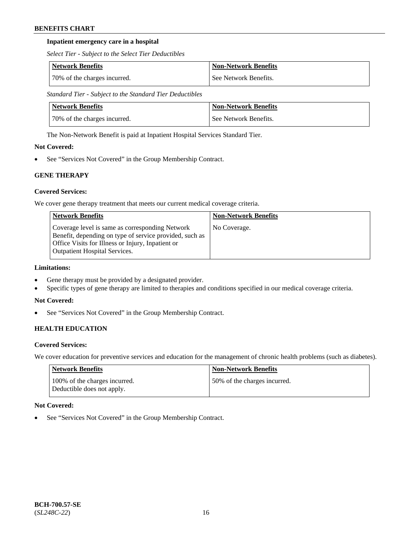### **Inpatient emergency care in a hospital**

*Select Tier - Subject to the Select Tier Deductibles*

| Network Benefits             | Non-Network Benefits  |
|------------------------------|-----------------------|
| 70% of the charges incurred. | See Network Benefits. |

*Standard Tier - Subject to the Standard Tier Deductibles*

| Network Benefits             | <b>Non-Network Benefits</b> |
|------------------------------|-----------------------------|
| 70% of the charges incurred. | See Network Benefits.       |

The Non-Network Benefit is paid at Inpatient Hospital Services Standard Tier.

# **Not Covered:**

See "Services Not Covered" in the Group Membership Contract.

# **GENE THERAPY**

# **Covered Services:**

We cover gene therapy treatment that meets our current medical coverage criteria.

| <b>Network Benefits</b>                                                                                                                                                                                 | <b>Non-Network Benefits</b> |
|---------------------------------------------------------------------------------------------------------------------------------------------------------------------------------------------------------|-----------------------------|
| Coverage level is same as corresponding Network<br>Benefit, depending on type of service provided, such as<br>Office Visits for Illness or Injury, Inpatient or<br><b>Outpatient Hospital Services.</b> | No Coverage.                |

# **Limitations:**

- Gene therapy must be provided by a designated provider.
- Specific types of gene therapy are limited to therapies and conditions specified in our medical coverage criteria.

### **Not Covered:**

• See "Services Not Covered" in the Group Membership Contract.

# **HEALTH EDUCATION**

### **Covered Services:**

We cover education for preventive services and education for the management of chronic health problems (such as diabetes).

| Network Benefits                                            | <b>Non-Network Benefits</b>  |
|-------------------------------------------------------------|------------------------------|
| 100% of the charges incurred.<br>Deductible does not apply. | 50% of the charges incurred. |

### **Not Covered:**

See "Services Not Covered" in the Group Membership Contract.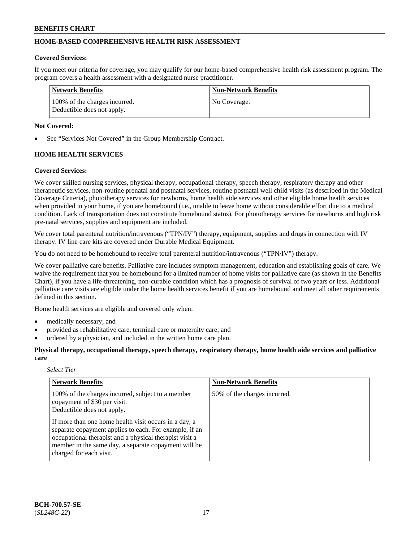# **HOME-BASED COMPREHENSIVE HEALTH RISK ASSESSMENT**

#### **Covered Services:**

If you meet our criteria for coverage, you may qualify for our home-based comprehensive health risk assessment program. The program covers a health assessment with a designated nurse practitioner.

| Network Benefits                                            | <b>Non-Network Benefits</b> |
|-------------------------------------------------------------|-----------------------------|
| 100% of the charges incurred.<br>Deductible does not apply. | No Coverage.                |

### **Not Covered:**

See "Services Not Covered" in the Group Membership Contract.

# **HOME HEALTH SERVICES**

#### **Covered Services:**

We cover skilled nursing services, physical therapy, occupational therapy, speech therapy, respiratory therapy and other therapeutic services, non-routine prenatal and postnatal services, routine postnatal well child visits (as described in the Medical Coverage Criteria), phototherapy services for newborns, home health aide services and other eligible home health services when provided in your home, if you are homebound (i.e., unable to leave home without considerable effort due to a medical condition. Lack of transportation does not constitute homebound status). For phototherapy services for newborns and high risk pre-natal services, supplies and equipment are included.

We cover total parenteral nutrition/intravenous ("TPN/IV") therapy, equipment, supplies and drugs in connection with IV therapy. IV line care kits are covered under Durable Medical Equipment.

You do not need to be homebound to receive total parenteral nutrition/intravenous ("TPN/IV") therapy.

We cover palliative care benefits. Palliative care includes symptom management, education and establishing goals of care. We waive the requirement that you be homebound for a limited number of home visits for palliative care (as shown in the Benefits Chart), if you have a life-threatening, non-curable condition which has a prognosis of survival of two years or less. Additional palliative care visits are eligible under the home health services benefit if you are homebound and meet all other requirements defined in this section.

Home health services are eligible and covered only when:

- medically necessary; and
- provided as rehabilitative care, terminal care or maternity care; and
- ordered by a physician, and included in the written home care plan.

**Physical therapy, occupational therapy, speech therapy, respiratory therapy, home health aide services and palliative care**

#### *Select Tier*

| <b>Network Benefits</b>                                                                                                                                                                                                                                       | <b>Non-Network Benefits</b>  |
|---------------------------------------------------------------------------------------------------------------------------------------------------------------------------------------------------------------------------------------------------------------|------------------------------|
| 100% of the charges incurred, subject to a member<br>copayment of \$30 per visit.<br>Deductible does not apply.                                                                                                                                               | 50% of the charges incurred. |
| If more than one home health visit occurs in a day, a<br>separate copayment applies to each. For example, if an<br>occupational therapist and a physical therapist visit a<br>member in the same day, a separate copayment will be<br>charged for each visit. |                              |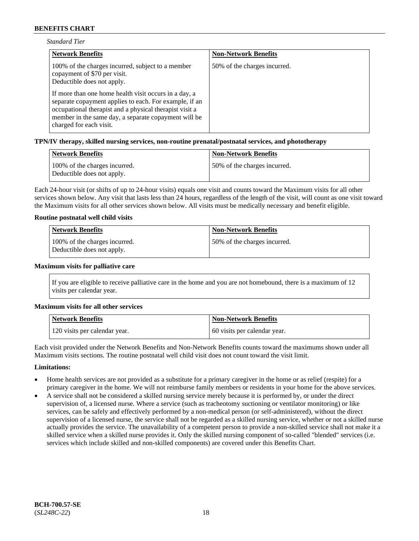| <b>Standard Tier</b> |  |
|----------------------|--|
|----------------------|--|

| <b>Network Benefits</b>                                                                                                                                                                                                                                       | <b>Non-Network Benefits</b>  |
|---------------------------------------------------------------------------------------------------------------------------------------------------------------------------------------------------------------------------------------------------------------|------------------------------|
| 100% of the charges incurred, subject to a member<br>copayment of \$70 per visit.<br>Deductible does not apply.                                                                                                                                               | 50% of the charges incurred. |
| If more than one home health visit occurs in a day, a<br>separate copayment applies to each. For example, if an<br>occupational therapist and a physical therapist visit a<br>member in the same day, a separate copayment will be<br>charged for each visit. |                              |

#### **TPN/IV therapy, skilled nursing services, non-routine prenatal/postnatal services, and phototherapy**

| <b>Network Benefits</b>                                     | <b>Non-Network Benefits</b>   |
|-------------------------------------------------------------|-------------------------------|
| 100% of the charges incurred.<br>Deductible does not apply. | 150% of the charges incurred. |

Each 24-hour visit (or shifts of up to 24-hour visits) equals one visit and counts toward the Maximum visits for all other services shown below. Any visit that lasts less than 24 hours, regardless of the length of the visit, will count as one visit toward the Maximum visits for all other services shown below. All visits must be medically necessary and benefit eligible.

#### **Routine postnatal well child visits**

| Network Benefits                                            | <b>Non-Network Benefits</b>  |
|-------------------------------------------------------------|------------------------------|
| 100% of the charges incurred.<br>Deductible does not apply. | 50% of the charges incurred. |

#### **Maximum visits for palliative care**

If you are eligible to receive palliative care in the home and you are not homebound, there is a maximum of 12 visits per calendar year.

#### **Maximum visits for all other services**

| <b>Network Benefits</b>       | <b>Non-Network Benefits</b>  |
|-------------------------------|------------------------------|
| 120 visits per calendar year. | 60 visits per calendar year. |

Each visit provided under the Network Benefits and Non-Network Benefits counts toward the maximums shown under all Maximum visits sections. The routine postnatal well child visit does not count toward the visit limit.

#### **Limitations:**

- Home health services are not provided as a substitute for a primary caregiver in the home or as relief (respite) for a primary caregiver in the home. We will not reimburse family members or residents in your home for the above services.
- A service shall not be considered a skilled nursing service merely because it is performed by, or under the direct supervision of, a licensed nurse. Where a service (such as tracheotomy suctioning or ventilator monitoring) or like services, can be safely and effectively performed by a non-medical person (or self-administered), without the direct supervision of a licensed nurse, the service shall not be regarded as a skilled nursing service, whether or not a skilled nurse actually provides the service. The unavailability of a competent person to provide a non-skilled service shall not make it a skilled service when a skilled nurse provides it. Only the skilled nursing component of so-called "blended" services (i.e. services which include skilled and non-skilled components) are covered under this Benefits Chart.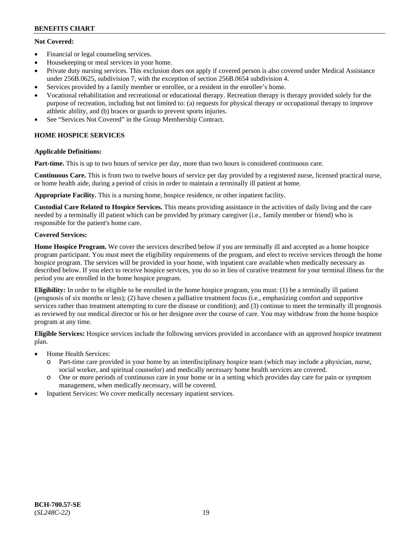## **Not Covered:**

- Financial or legal counseling services.
- Housekeeping or meal services in your home.
- Private duty nursing services. This exclusion does not apply if covered person is also covered under Medical Assistance under 256B.0625, subdivision 7, with the exception of section 256B.0654 subdivision 4.
- Services provided by a family member or enrollee, or a resident in the enrollee's home.
- Vocational rehabilitation and recreational or educational therapy. Recreation therapy is therapy provided solely for the purpose of recreation, including but not limited to: (a) requests for physical therapy or occupational therapy to improve athletic ability, and (b) braces or guards to prevent sports injuries.
- See "Services Not Covered" in the Group Membership Contract.

# **HOME HOSPICE SERVICES**

# **Applicable Definitions:**

**Part-time.** This is up to two hours of service per day, more than two hours is considered continuous care.

**Continuous Care.** This is from two to twelve hours of service per day provided by a registered nurse, licensed practical nurse, or home health aide, during a period of crisis in order to maintain a terminally ill patient at home.

**Appropriate Facility.** This is a nursing home, hospice residence, or other inpatient facility.

**Custodial Care Related to Hospice Services.** This means providing assistance in the activities of daily living and the care needed by a terminally ill patient which can be provided by primary caregiver (i.e., family member or friend) who is responsible for the patient's home care.

# **Covered Services:**

**Home Hospice Program.** We cover the services described below if you are terminally ill and accepted as a home hospice program participant. You must meet the eligibility requirements of the program, and elect to receive services through the home hospice program. The services will be provided in your home, with inpatient care available when medically necessary as described below. If you elect to receive hospice services, you do so in lieu of curative treatment for your terminal illness for the period you are enrolled in the home hospice program.

**Eligibility:** In order to be eligible to be enrolled in the home hospice program, you must: (1) be a terminally ill patient (prognosis of six months or less); (2) have chosen a palliative treatment focus (i.e., emphasizing comfort and supportive services rather than treatment attempting to cure the disease or condition); and (3) continue to meet the terminally ill prognosis as reviewed by our medical director or his or her designee over the course of care. You may withdraw from the home hospice program at any time.

**Eligible Services:** Hospice services include the following services provided in accordance with an approved hospice treatment plan.

- Home Health Services:
	- o Part-time care provided in your home by an interdisciplinary hospice team (which may include a physician, nurse, social worker, and spiritual counselor) and medically necessary home health services are covered.
	- o One or more periods of continuous care in your home or in a setting which provides day care for pain or symptom management, when medically necessary, will be covered.
- Inpatient Services: We cover medically necessary inpatient services.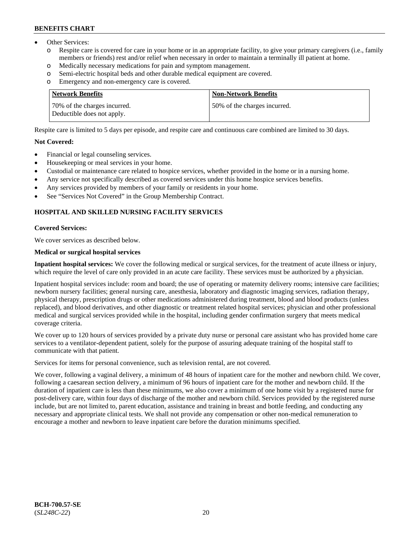- Other Services:
	- Respite care is covered for care in your home or in an appropriate facility, to give your primary caregivers (i.e., family members or friends) rest and/or relief when necessary in order to maintain a terminally ill patient at home.
	- o Medically necessary medications for pain and symptom management.
	- o Semi-electric hospital beds and other durable medical equipment are covered.
	- Emergency and non-emergency care is covered.

| Network Benefits                                           | Non-Network Benefits         |
|------------------------------------------------------------|------------------------------|
| 70% of the charges incurred.<br>Deductible does not apply. | 50% of the charges incurred. |

Respite care is limited to 5 days per episode, and respite care and continuous care combined are limited to 30 days.

### **Not Covered:**

- Financial or legal counseling services.
- Housekeeping or meal services in your home.
- Custodial or maintenance care related to hospice services, whether provided in the home or in a nursing home.
- Any service not specifically described as covered services under this home hospice services benefits.
- Any services provided by members of your family or residents in your home.
- See "Services Not Covered" in the Group Membership Contract.

# **HOSPITAL AND SKILLED NURSING FACILITY SERVICES**

#### **Covered Services:**

We cover services as described below.

### **Medical or surgical hospital services**

**Inpatient hospital services:** We cover the following medical or surgical services, for the treatment of acute illness or injury, which require the level of care only provided in an acute care facility. These services must be authorized by a physician.

Inpatient hospital services include: room and board; the use of operating or maternity delivery rooms; intensive care facilities; newborn nursery facilities; general nursing care, anesthesia, laboratory and diagnostic imaging services, radiation therapy, physical therapy, prescription drugs or other medications administered during treatment, blood and blood products (unless replaced), and blood derivatives, and other diagnostic or treatment related hospital services; physician and other professional medical and surgical services provided while in the hospital, including gender confirmation surgery that meets medical coverage criteria.

We cover up to 120 hours of services provided by a private duty nurse or personal care assistant who has provided home care services to a ventilator-dependent patient, solely for the purpose of assuring adequate training of the hospital staff to communicate with that patient.

Services for items for personal convenience, such as television rental, are not covered.

We cover, following a vaginal delivery, a minimum of 48 hours of inpatient care for the mother and newborn child. We cover, following a caesarean section delivery, a minimum of 96 hours of inpatient care for the mother and newborn child. If the duration of inpatient care is less than these minimums, we also cover a minimum of one home visit by a registered nurse for post-delivery care, within four days of discharge of the mother and newborn child. Services provided by the registered nurse include, but are not limited to, parent education, assistance and training in breast and bottle feeding, and conducting any necessary and appropriate clinical tests. We shall not provide any compensation or other non-medical remuneration to encourage a mother and newborn to leave inpatient care before the duration minimums specified.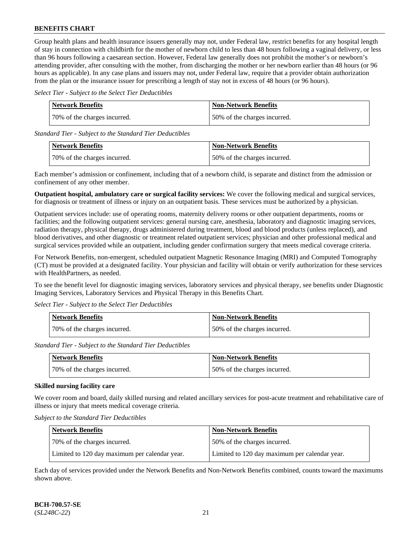Group health plans and health insurance issuers generally may not, under Federal law, restrict benefits for any hospital length of stay in connection with childbirth for the mother of newborn child to less than 48 hours following a vaginal delivery, or less than 96 hours following a caesarean section. However, Federal law generally does not prohibit the mother's or newborn's attending provider, after consulting with the mother, from discharging the mother or her newborn earlier than 48 hours (or 96 hours as applicable). In any case plans and issuers may not, under Federal law, require that a provider obtain authorization from the plan or the insurance issuer for prescribing a length of stay not in excess of 48 hours (or 96 hours).

*Select Tier - Subject to the Select Tier Deductibles*

| <b>Network Benefits</b>      | <b>Non-Network Benefits</b>  |
|------------------------------|------------------------------|
| 70% of the charges incurred. | 50% of the charges incurred. |

*Standard Tier - Subject to the Standard Tier Deductibles*

| <b>Network Benefits</b>       | <b>Non-Network Benefits</b>  |
|-------------------------------|------------------------------|
| 170% of the charges incurred. | 50% of the charges incurred. |

Each member's admission or confinement, including that of a newborn child, is separate and distinct from the admission or confinement of any other member.

**Outpatient hospital, ambulatory care or surgical facility services:** We cover the following medical and surgical services, for diagnosis or treatment of illness or injury on an outpatient basis. These services must be authorized by a physician.

Outpatient services include: use of operating rooms, maternity delivery rooms or other outpatient departments, rooms or facilities; and the following outpatient services: general nursing care, anesthesia, laboratory and diagnostic imaging services, radiation therapy, physical therapy, drugs administered during treatment, blood and blood products (unless replaced), and blood derivatives, and other diagnostic or treatment related outpatient services; physician and other professional medical and surgical services provided while an outpatient, including gender confirmation surgery that meets medical coverage criteria.

For Network Benefits, non-emergent, scheduled outpatient Magnetic Resonance Imaging (MRI) and Computed Tomography (CT) must be provided at a designated facility. Your physician and facility will obtain or verify authorization for these services with HealthPartners, as needed.

To see the benefit level for diagnostic imaging services, laboratory services and physical therapy, see benefits under Diagnostic Imaging Services, Laboratory Services and Physical Therapy in this Benefits Chart.

*Select Tier - Subject to the Select Tier Deductibles*

| Network Benefits             | <b>Non-Network Benefits</b>  |
|------------------------------|------------------------------|
| 70% of the charges incurred. | 50% of the charges incurred. |

*Standard Tier - Subject to the Standard Tier Deductibles*

| Network Benefits             | <b>Non-Network Benefits</b>   |
|------------------------------|-------------------------------|
| 70% of the charges incurred. | 150% of the charges incurred. |

### **Skilled nursing facility care**

We cover room and board, daily skilled nursing and related ancillary services for post-acute treatment and rehabilitative care of illness or injury that meets medical coverage criteria.

*Subject to the Standard Tier Deductibles*

| Network Benefits                              | <b>Non-Network Benefits</b>                   |
|-----------------------------------------------|-----------------------------------------------|
| 70% of the charges incurred.                  | 50% of the charges incurred.                  |
| Limited to 120 day maximum per calendar year. | Limited to 120 day maximum per calendar year. |

Each day of services provided under the Network Benefits and Non-Network Benefits combined, counts toward the maximums shown above.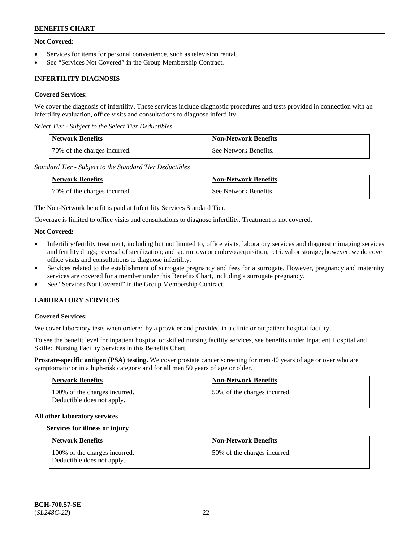### **Not Covered:**

- Services for items for personal convenience, such as television rental.
- See "Services Not Covered" in the Group Membership Contract.

# **INFERTILITY DIAGNOSIS**

### **Covered Services:**

We cover the diagnosis of infertility. These services include diagnostic procedures and tests provided in connection with an infertility evaluation, office visits and consultations to diagnose infertility.

*Select Tier - Subject to the Select Tier Deductibles*

| <b>Network Benefits</b>       | <b>Non-Network Benefits</b> |
|-------------------------------|-----------------------------|
| 170% of the charges incurred. | See Network Benefits.       |

*Standard Tier - Subject to the Standard Tier Deductibles*

| <b>Network Benefits</b>      | <b>Non-Network Benefits</b> |
|------------------------------|-----------------------------|
| 70% of the charges incurred. | See Network Benefits.       |

The Non-Network benefit is paid at Infertility Services Standard Tier.

Coverage is limited to office visits and consultations to diagnose infertility. Treatment is not covered.

### **Not Covered:**

- Infertility/fertility treatment, including but not limited to, office visits, laboratory services and diagnostic imaging services and fertility drugs; reversal of sterilization; and sperm, ova or embryo acquisition, retrieval or storage; however, we do cover office visits and consultations to diagnose infertility.
- Services related to the establishment of surrogate pregnancy and fees for a surrogate. However, pregnancy and maternity services are covered for a member under this Benefits Chart, including a surrogate pregnancy.
- See "Services Not Covered" in the Group Membership Contract.

# **LABORATORY SERVICES**

#### **Covered Services:**

We cover laboratory tests when ordered by a provider and provided in a clinic or outpatient hospital facility.

To see the benefit level for inpatient hospital or skilled nursing facility services, see benefits under Inpatient Hospital and Skilled Nursing Facility Services in this Benefits Chart.

**Prostate-specific antigen (PSA) testing.** We cover prostate cancer screening for men 40 years of age or over who are symptomatic or in a high-risk category and for all men 50 years of age or older.

| <b>Network Benefits</b>                                     | <b>Non-Network Benefits</b>  |
|-------------------------------------------------------------|------------------------------|
| 100% of the charges incurred.<br>Deductible does not apply. | 50% of the charges incurred. |

#### **All other laboratory services**

#### **Services for illness or injury**

| Network Benefits                                            | <b>Non-Network Benefits</b>  |
|-------------------------------------------------------------|------------------------------|
| 100% of the charges incurred.<br>Deductible does not apply. | 50% of the charges incurred. |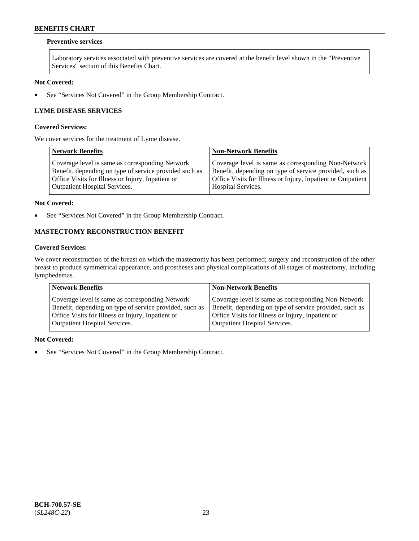### **Preventive services**

Laboratory services associated with preventive services are covered at the benefit level shown in the "Preventive Services" section of this Benefits Chart.

# **Not Covered:**

• See "Services Not Covered" in the Group Membership Contract.

# **LYME DISEASE SERVICES**

#### **Covered Services:**

We cover services for the treatment of Lyme disease.

| <b>Network Benefits</b>                                | <b>Non-Network Benefits</b>                                  |
|--------------------------------------------------------|--------------------------------------------------------------|
| Coverage level is same as corresponding Network        | Coverage level is same as corresponding Non-Network          |
| Benefit, depending on type of service provided such as | Benefit, depending on type of service provided, such as      |
| Office Visits for Illness or Injury, Inpatient or      | Office Visits for Illness or Injury, Inpatient or Outpatient |
| <b>Outpatient Hospital Services.</b>                   | <b>Hospital Services.</b>                                    |

#### **Not Covered:**

• See "Services Not Covered" in the Group Membership Contract.

# **MASTECTOMY RECONSTRUCTION BENEFIT**

### **Covered Services:**

We cover reconstruction of the breast on which the mastectomy has been performed; surgery and reconstruction of the other breast to produce symmetrical appearance, and prostheses and physical complications of all stages of mastectomy, including lymphedemas.

| <b>Network Benefits</b>                                 | <b>Non-Network Benefits</b>                             |
|---------------------------------------------------------|---------------------------------------------------------|
| Coverage level is same as corresponding Network         | Coverage level is same as corresponding Non-Network     |
| Benefit, depending on type of service provided, such as | Benefit, depending on type of service provided, such as |
| Office Visits for Illness or Injury, Inpatient or       | Office Visits for Illness or Injury, Inpatient or       |
| <b>Outpatient Hospital Services.</b>                    | Outpatient Hospital Services.                           |

#### **Not Covered:**

• See "Services Not Covered" in the Group Membership Contract.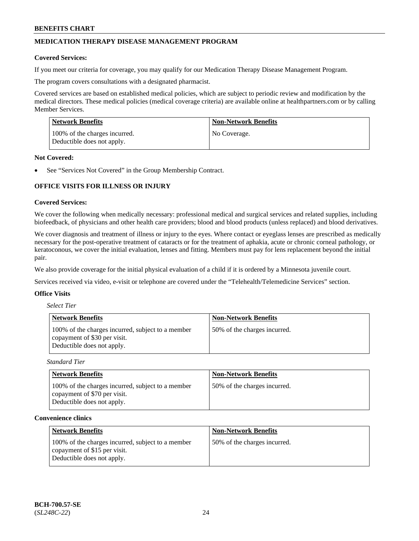# **MEDICATION THERAPY DISEASE MANAGEMENT PROGRAM**

#### **Covered Services:**

If you meet our criteria for coverage, you may qualify for our Medication Therapy Disease Management Program.

The program covers consultations with a designated pharmacist.

Covered services are based on established medical policies, which are subject to periodic review and modification by the medical directors. These medical policies (medical coverage criteria) are available online at [healthpartners.com](https://www.healthpartners.com/hp/index.html) or by calling Member Services.

| Network Benefits                                            | <b>Non-Network Benefits</b> |
|-------------------------------------------------------------|-----------------------------|
| 100% of the charges incurred.<br>Deductible does not apply. | No Coverage.                |

#### **Not Covered:**

See "Services Not Covered" in the Group Membership Contract.

# **OFFICE VISITS FOR ILLNESS OR INJURY**

#### **Covered Services:**

We cover the following when medically necessary: professional medical and surgical services and related supplies, including biofeedback, of physicians and other health care providers; blood and blood products (unless replaced) and blood derivatives.

We cover diagnosis and treatment of illness or injury to the eyes. Where contact or eyeglass lenses are prescribed as medically necessary for the post-operative treatment of cataracts or for the treatment of aphakia, acute or chronic corneal pathology, or keratoconous, we cover the initial evaluation, lenses and fitting. Members must pay for lens replacement beyond the initial pair.

We also provide coverage for the initial physical evaluation of a child if it is ordered by a Minnesota juvenile court.

Services received via video, e-visit or telephone are covered under the "Telehealth/Telemedicine Services" section.

#### **Office Visits**

| <b>Select Tier</b> |  |
|--------------------|--|
|--------------------|--|

| Network Benefits                                                                                                | <b>Non-Network Benefits</b>  |
|-----------------------------------------------------------------------------------------------------------------|------------------------------|
| 100% of the charges incurred, subject to a member<br>copayment of \$30 per visit.<br>Deductible does not apply. | 50% of the charges incurred. |

*Standard Tier*

| <b>Network Benefits</b>                                                                                         | <b>Non-Network Benefits</b>  |
|-----------------------------------------------------------------------------------------------------------------|------------------------------|
| 100% of the charges incurred, subject to a member<br>copayment of \$70 per visit.<br>Deductible does not apply. | 50% of the charges incurred. |

#### **Convenience clinics**

| <b>Network Benefits</b>                                                                                         | <b>Non-Network Benefits</b>  |
|-----------------------------------------------------------------------------------------------------------------|------------------------------|
| 100% of the charges incurred, subject to a member<br>copayment of \$15 per visit.<br>Deductible does not apply. | 50% of the charges incurred. |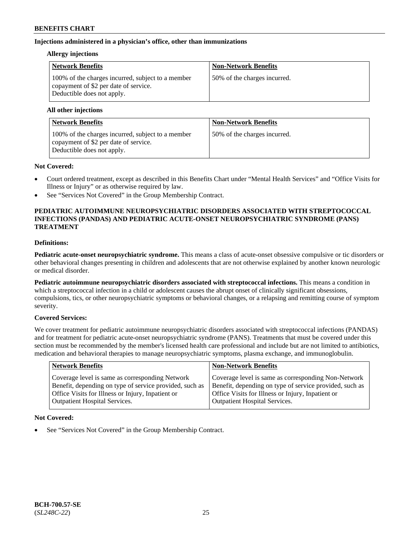### **Injections administered in a physician's office, other than immunizations**

### **Allergy injections**

| <b>Network Benefits</b>                                                                                                  | <b>Non-Network Benefits</b>  |
|--------------------------------------------------------------------------------------------------------------------------|------------------------------|
| 100% of the charges incurred, subject to a member<br>copayment of \$2 per date of service.<br>Deductible does not apply. | 50% of the charges incurred. |

#### **All other injections**

| <b>Network Benefits</b>                                                                                                  | <b>Non-Network Benefits</b>  |
|--------------------------------------------------------------------------------------------------------------------------|------------------------------|
| 100% of the charges incurred, subject to a member<br>copayment of \$2 per date of service.<br>Deductible does not apply. | 50% of the charges incurred. |

### **Not Covered:**

- Court ordered treatment, except as described in this Benefits Chart under "Mental Health Services" and "Office Visits for Illness or Injury" or as otherwise required by law.
- See "Services Not Covered" in the Group Membership Contract.

### **PEDIATRIC AUTOIMMUNE NEUROPSYCHIATRIC DISORDERS ASSOCIATED WITH STREPTOCOCCAL INFECTIONS (PANDAS) AND PEDIATRIC ACUTE-ONSET NEUROPSYCHIATRIC SYNDROME (PANS) TREATMENT**

# **Definitions:**

**Pediatric acute-onset neuropsychiatric syndrome.** This means a class of acute-onset obsessive compulsive or tic disorders or other behavioral changes presenting in children and adolescents that are not otherwise explained by another known neurologic or medical disorder.

**Pediatric autoimmune neuropsychiatric disorders associated with streptococcal infections.** This means a condition in which a streptococcal infection in a child or adolescent causes the abrupt onset of clinically significant obsessions, compulsions, tics, or other neuropsychiatric symptoms or behavioral changes, or a relapsing and remitting course of symptom severity.

### **Covered Services:**

We cover treatment for pediatric autoimmune neuropsychiatric disorders associated with streptococcal infections (PANDAS) and for treatment for pediatric acute-onset neuropsychiatric syndrome (PANS). Treatments that must be covered under this section must be recommended by the member's licensed health care professional and include but are not limited to antibiotics, medication and behavioral therapies to manage neuropsychiatric symptoms, plasma exchange, and immunoglobulin.

| <b>Network Benefits</b>                                                                                                                                                                          | <b>Non-Network Benefits</b>                                                                                                                                                                                 |
|--------------------------------------------------------------------------------------------------------------------------------------------------------------------------------------------------|-------------------------------------------------------------------------------------------------------------------------------------------------------------------------------------------------------------|
| Coverage level is same as corresponding Network<br>Benefit, depending on type of service provided, such as<br>Office Visits for Illness or Injury, Inpatient or<br>Outpatient Hospital Services. | Coverage level is same as corresponding Non-Network<br>Benefit, depending on type of service provided, such as<br>Office Visits for Illness or Injury, Inpatient or<br><b>Outpatient Hospital Services.</b> |
|                                                                                                                                                                                                  |                                                                                                                                                                                                             |

### **Not Covered:**

See "Services Not Covered" in the Group Membership Contract.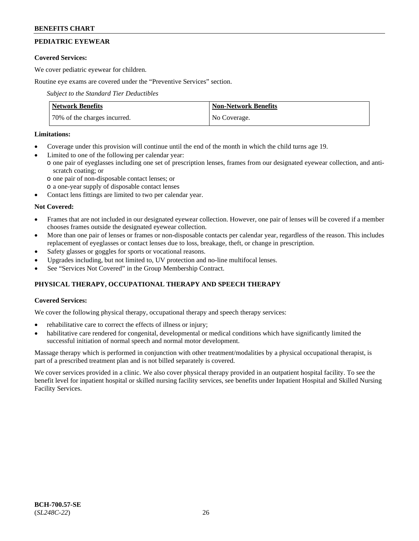# **PEDIATRIC EYEWEAR**

# **Covered Services:**

We cover pediatric eyewear for children.

Routine eye exams are covered under the "Preventive Services" section.

*Subject to the Standard Tier Deductibles*

| <b>Network Benefits</b>      | <b>Non-Network Benefits</b> |
|------------------------------|-----------------------------|
| 70% of the charges incurred. | No Coverage.                |

# **Limitations:**

- Coverage under this provision will continue until the end of the month in which the child turns age 19.
- Limited to one of the following per calendar year:
- o one pair of eyeglasses including one set of prescription lenses, frames from our designated eyewear collection, and antiscratch coating; or
	- o one pair of non-disposable contact lenses; or
	- o a one-year supply of disposable contact lenses
- Contact lens fittings are limited to two per calendar year.

# **Not Covered:**

- Frames that are not included in our designated eyewear collection. However, one pair of lenses will be covered if a member chooses frames outside the designated eyewear collection.
- More than one pair of lenses or frames or non-disposable contacts per calendar year, regardless of the reason. This includes replacement of eyeglasses or contact lenses due to loss, breakage, theft, or change in prescription.
- Safety glasses or goggles for sports or vocational reasons.
- Upgrades including, but not limited to, UV protection and no-line multifocal lenses.
- See "Services Not Covered" in the Group Membership Contract.

# **PHYSICAL THERAPY, OCCUPATIONAL THERAPY AND SPEECH THERAPY**

# **Covered Services:**

We cover the following physical therapy, occupational therapy and speech therapy services:

- rehabilitative care to correct the effects of illness or injury;
- habilitative care rendered for congenital, developmental or medical conditions which have significantly limited the successful initiation of normal speech and normal motor development.

Massage therapy which is performed in conjunction with other treatment/modalities by a physical occupational therapist, is part of a prescribed treatment plan and is not billed separately is covered.

We cover services provided in a clinic. We also cover physical therapy provided in an outpatient hospital facility. To see the benefit level for inpatient hospital or skilled nursing facility services, see benefits under Inpatient Hospital and Skilled Nursing Facility Services.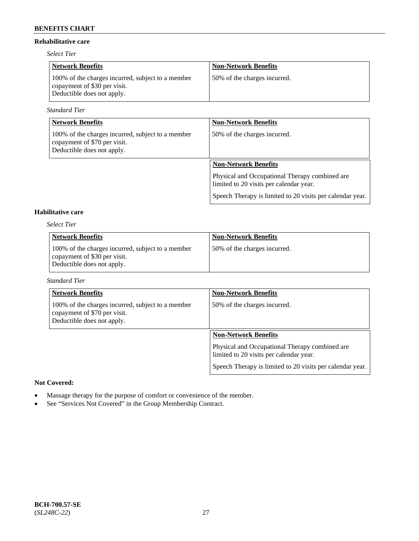### **Rehabilitative care**

*Select Tier*

| <b>Network Benefits</b>                                                                                         | <b>Non-Network Benefits</b>  |
|-----------------------------------------------------------------------------------------------------------------|------------------------------|
| 100% of the charges incurred, subject to a member<br>copayment of \$30 per visit.<br>Deductible does not apply. | 50% of the charges incurred. |

*Standard Tier*

| <b>Network Benefits</b>                                                                                         | <b>Non-Network Benefits</b>                                                               |
|-----------------------------------------------------------------------------------------------------------------|-------------------------------------------------------------------------------------------|
| 100% of the charges incurred, subject to a member<br>copayment of \$70 per visit.<br>Deductible does not apply. | 50% of the charges incurred.                                                              |
|                                                                                                                 | <b>Non-Network Benefits</b>                                                               |
|                                                                                                                 | Physical and Occupational Therapy combined are<br>limited to 20 visits per calendar year. |
|                                                                                                                 | Speech Therapy is limited to 20 visits per calendar year.                                 |

# **Habilitative care**

*Select Tier*

| <b>Network Benefits</b>                                                                                         | <b>Non-Network Benefits</b>  |
|-----------------------------------------------------------------------------------------------------------------|------------------------------|
| 100% of the charges incurred, subject to a member<br>copayment of \$30 per visit.<br>Deductible does not apply. | 50% of the charges incurred. |

### *Standard Tier*

| <b>Network Benefits</b>                                                                                         | <b>Non-Network Benefits</b>                                                               |
|-----------------------------------------------------------------------------------------------------------------|-------------------------------------------------------------------------------------------|
| 100% of the charges incurred, subject to a member<br>copayment of \$70 per visit.<br>Deductible does not apply. | 50% of the charges incurred.                                                              |
|                                                                                                                 | <b>Non-Network Benefits</b>                                                               |
|                                                                                                                 | Physical and Occupational Therapy combined are<br>limited to 20 visits per calendar year. |
|                                                                                                                 | Speech Therapy is limited to 20 visits per calendar year.                                 |

#### **Not Covered:**

- Massage therapy for the purpose of comfort or convenience of the member.
- See "Services Not Covered" in the Group Membership Contract.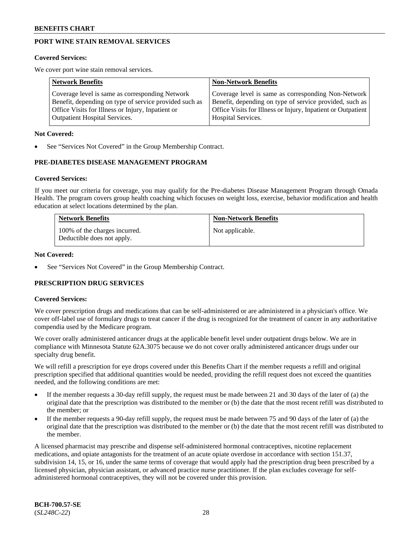# **PORT WINE STAIN REMOVAL SERVICES**

#### **Covered Services:**

We cover port wine stain removal services.

| <b>Network Benefits</b>                                | <b>Non-Network Benefits</b>                                  |
|--------------------------------------------------------|--------------------------------------------------------------|
| Coverage level is same as corresponding Network        | Coverage level is same as corresponding Non-Network          |
| Benefit, depending on type of service provided such as | Benefit, depending on type of service provided, such as      |
| Office Visits for Illness or Injury, Inpatient or      | Office Visits for Illness or Injury, Inpatient or Outpatient |
| <b>Outpatient Hospital Services.</b>                   | Hospital Services.                                           |

#### **Not Covered:**

See "Services Not Covered" in the Group Membership Contract.

### **PRE-DIABETES DISEASE MANAGEMENT PROGRAM**

#### **Covered Services:**

If you meet our criteria for coverage, you may qualify for the Pre-diabetes Disease Management Program through Omada Health. The program covers group health coaching which focuses on weight loss, exercise, behavior modification and health education at select locations determined by the plan.

| <b>Network Benefits</b>                                     | <b>Non-Network Benefits</b> |
|-------------------------------------------------------------|-----------------------------|
| 100% of the charges incurred.<br>Deductible does not apply. | Not applicable.             |

#### **Not Covered:**

See "Services Not Covered" in the Group Membership Contract.

### **PRESCRIPTION DRUG SERVICES**

### **Covered Services:**

We cover prescription drugs and medications that can be self-administered or are administered in a physician's office. We cover off-label use of formulary drugs to treat cancer if the drug is recognized for the treatment of cancer in any authoritative compendia used by the Medicare program.

We cover orally administered anticancer drugs at the applicable benefit level under outpatient drugs below. We are in compliance with Minnesota Statute 62A.3075 because we do not cover orally administered anticancer drugs under our specialty drug benefit.

We will refill a prescription for eye drops covered under this Benefits Chart if the member requests a refill and original prescription specified that additional quantities would be needed, providing the refill request does not exceed the quantities needed, and the following conditions are met:

- If the member requests a 30-day refill supply, the request must be made between 21 and 30 days of the later of (a) the original date that the prescription was distributed to the member or (b) the date that the most recent refill was distributed to the member; or
- If the member requests a 90-day refill supply, the request must be made between 75 and 90 days of the later of (a) the original date that the prescription was distributed to the member or (b) the date that the most recent refill was distributed to the member.

A licensed pharmacist may prescribe and dispense self-administered hormonal contraceptives, nicotine replacement medications, and opiate antagonists for the treatment of an acute opiate overdose in accordance with section 151.37, subdivision 14, 15, or 16, under the same terms of coverage that would apply had the prescription drug been prescribed by a licensed physician, physician assistant, or advanced practice nurse practitioner. If the plan excludes coverage for selfadministered hormonal contraceptives, they will not be covered under this provision.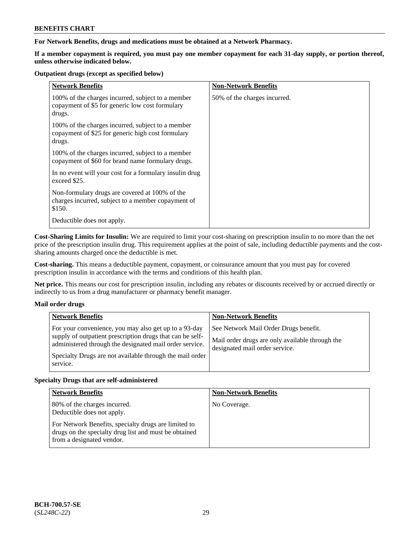**For Network Benefits, drugs and medications must be obtained at a Network Pharmacy.**

**If a member copayment is required, you must pay one member copayment for each 31-day supply, or portion thereof, unless otherwise indicated below.**

#### **Outpatient drugs (except as specified below)**

| <b>Network Benefits</b>                                                                                          | <b>Non-Network Benefits</b>  |
|------------------------------------------------------------------------------------------------------------------|------------------------------|
| 100% of the charges incurred, subject to a member<br>copayment of \$5 for generic low cost formulary<br>drugs.   | 50% of the charges incurred. |
| 100% of the charges incurred, subject to a member<br>copayment of \$25 for generic high cost formulary<br>drugs. |                              |
| 100% of the charges incurred, subject to a member<br>copayment of \$60 for brand name formulary drugs.           |                              |
| In no event will your cost for a formulary insulin drug<br>exceed \$25.                                          |                              |
| Non-formulary drugs are covered at 100% of the<br>charges incurred, subject to a member copayment of<br>\$150.   |                              |
| Deductible does not apply.                                                                                       |                              |

**Cost-Sharing Limits for Insulin:** We are required to limit your cost-sharing on prescription insulin to no more than the net price of the prescription insulin drug. This requirement applies at the point of sale, including deductible payments and the costsharing amounts charged once the deductible is met.

**Cost-sharing.** This means a deductible payment, copayment, or coinsurance amount that you must pay for covered prescription insulin in accordance with the terms and conditions of this health plan.

**Net price.** This means our cost for prescription insulin, including any rebates or discounts received by or accrued directly or indirectly to us from a drug manufacturer or pharmacy benefit manager.

### **Mail order drugs**

| <b>Network Benefits</b>                                                                                                                                                                                                                               | <b>Non-Network Benefits</b>                                                                                                |
|-------------------------------------------------------------------------------------------------------------------------------------------------------------------------------------------------------------------------------------------------------|----------------------------------------------------------------------------------------------------------------------------|
| For your convenience, you may also get up to a 93-day<br>supply of outpatient prescription drugs that can be self-<br>administered through the designated mail order service.<br>Specialty Drugs are not available through the mail order<br>service. | See Network Mail Order Drugs benefit.<br>Mail order drugs are only available through the<br>designated mail order service. |

### **Specialty Drugs that are self-administered**

| <b>Network Benefits</b>                                                                                                                    | <b>Non-Network Benefits</b> |
|--------------------------------------------------------------------------------------------------------------------------------------------|-----------------------------|
| 80% of the charges incurred.<br>Deductible does not apply.                                                                                 | No Coverage.                |
| For Network Benefits, specialty drugs are limited to<br>drugs on the specialty drug list and must be obtained<br>from a designated vendor. |                             |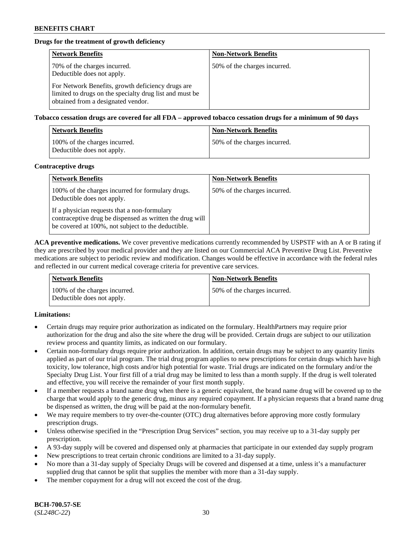# **Drugs for the treatment of growth deficiency**

| <b>Network Benefits</b>                                                                                                                            | <b>Non-Network Benefits</b>  |
|----------------------------------------------------------------------------------------------------------------------------------------------------|------------------------------|
| 70% of the charges incurred.<br>Deductible does not apply.                                                                                         | 50% of the charges incurred. |
| For Network Benefits, growth deficiency drugs are<br>limited to drugs on the specialty drug list and must be<br>obtained from a designated vendor. |                              |

**Tobacco cessation drugs are covered for all FDA – approved tobacco cessation drugs for a minimum of 90 days**

| <b>Network Benefits</b>                                     | <b>Non-Network Benefits</b>  |
|-------------------------------------------------------------|------------------------------|
| 100% of the charges incurred.<br>Deductible does not apply. | 50% of the charges incurred. |

#### **Contraceptive drugs**

| <b>Network Benefits</b>                                                                                                                                        | <b>Non-Network Benefits</b>  |
|----------------------------------------------------------------------------------------------------------------------------------------------------------------|------------------------------|
| 100% of the charges incurred for formulary drugs.<br>Deductible does not apply.                                                                                | 50% of the charges incurred. |
| If a physician requests that a non-formulary<br>contraceptive drug be dispensed as written the drug will<br>be covered at 100%, not subject to the deductible. |                              |

**ACA preventive medications.** We cover preventive medications currently recommended by USPSTF with an A or B rating if they are prescribed by your medical provider and they are listed on our Commercial ACA Preventive Drug List. Preventive medications are subject to periodic review and modification. Changes would be effective in accordance with the federal rules and reflected in our current medical coverage criteria for preventive care services.

| <b>Network Benefits</b>                                     | <b>Non-Network Benefits</b>  |
|-------------------------------------------------------------|------------------------------|
| 100% of the charges incurred.<br>Deductible does not apply. | 50% of the charges incurred. |

### **Limitations:**

- Certain drugs may require prior authorization as indicated on the formulary. HealthPartners may require prior authorization for the drug and also the site where the drug will be provided. Certain drugs are subject to our utilization review process and quantity limits, as indicated on our formulary.
- Certain non-formulary drugs require prior authorization. In addition, certain drugs may be subject to any quantity limits applied as part of our trial program. The trial drug program applies to new prescriptions for certain drugs which have high toxicity, low tolerance, high costs and/or high potential for waste. Trial drugs are indicated on the formulary and/or the Specialty Drug List. Your first fill of a trial drug may be limited to less than a month supply. If the drug is well tolerated and effective, you will receive the remainder of your first month supply.
- If a member requests a brand name drug when there is a generic equivalent, the brand name drug will be covered up to the charge that would apply to the generic drug, minus any required copayment. If a physician requests that a brand name drug be dispensed as written, the drug will be paid at the non-formulary benefit.
- We may require members to try over-the-counter (OTC) drug alternatives before approving more costly formulary prescription drugs.
- Unless otherwise specified in the "Prescription Drug Services" section, you may receive up to a 31-day supply per prescription.
- A 93-day supply will be covered and dispensed only at pharmacies that participate in our extended day supply program
- New prescriptions to treat certain chronic conditions are limited to a 31-day supply.
- No more than a 31-day supply of Specialty Drugs will be covered and dispensed at a time, unless it's a manufacturer supplied drug that cannot be split that supplies the member with more than a 31-day supply.
- The member copayment for a drug will not exceed the cost of the drug.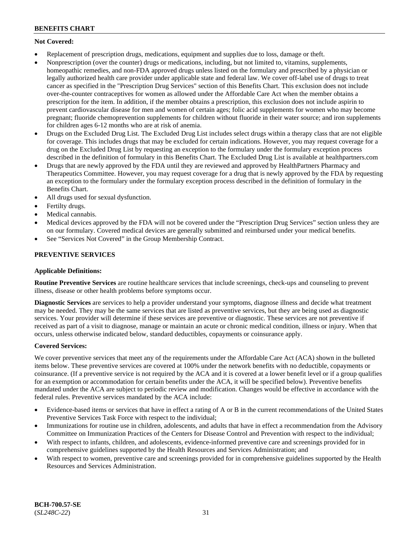# **Not Covered:**

- Replacement of prescription drugs, medications, equipment and supplies due to loss, damage or theft.
- Nonprescription (over the counter) drugs or medications, including, but not limited to, vitamins, supplements, homeopathic remedies, and non-FDA approved drugs unless listed on the formulary and prescribed by a physician or legally authorized health care provider under applicable state and federal law. We cover off-label use of drugs to treat cancer as specified in the "Prescription Drug Services" section of this Benefits Chart. This exclusion does not include over-the-counter contraceptives for women as allowed under the Affordable Care Act when the member obtains a prescription for the item. In addition, if the member obtains a prescription, this exclusion does not include aspirin to prevent cardiovascular disease for men and women of certain ages; folic acid supplements for women who may become pregnant; fluoride chemoprevention supplements for children without fluoride in their water source; and iron supplements for children ages 6-12 months who are at risk of anemia.
- Drugs on the Excluded Drug List. The Excluded Drug List includes select drugs within a therapy class that are not eligible for coverage. This includes drugs that may be excluded for certain indications. However, you may request coverage for a drug on the Excluded Drug List by requesting an exception to the formulary under the formulary exception process described in the definition of formulary in this Benefits Chart. The Excluded Drug List is available at [healthpartners.com](http://www.healthpartners.com/)
- Drugs that are newly approved by the FDA until they are reviewed and approved by HealthPartners Pharmacy and Therapeutics Committee. However, you may request coverage for a drug that is newly approved by the FDA by requesting an exception to the formulary under the formulary exception process described in the definition of formulary in the Benefits Chart.
- All drugs used for sexual dysfunction.
- Fertilty drugs.
- Medical cannabis.
- Medical devices approved by the FDA will not be covered under the "Prescription Drug Services" section unless they are on our formulary. Covered medical devices are generally submitted and reimbursed under your medical benefits.
- See "Services Not Covered" in the Group Membership Contract.

# **PREVENTIVE SERVICES**

### **Applicable Definitions:**

**Routine Preventive Services** are routine healthcare services that include screenings, check-ups and counseling to prevent illness, disease or other health problems before symptoms occur.

**Diagnostic Services** are services to help a provider understand your symptoms, diagnose illness and decide what treatment may be needed. They may be the same services that are listed as preventive services, but they are being used as diagnostic services. Your provider will determine if these services are preventive or diagnostic. These services are not preventive if received as part of a visit to diagnose, manage or maintain an acute or chronic medical condition, illness or injury. When that occurs, unless otherwise indicated below, standard deductibles, copayments or coinsurance apply.

### **Covered Services:**

We cover preventive services that meet any of the requirements under the Affordable Care Act (ACA) shown in the bulleted items below. These preventive services are covered at 100% under the network benefits with no deductible, copayments or coinsurance. (If a preventive service is not required by the ACA and it is covered at a lower benefit level or if a group qualifies for an exemption or accommodation for certain benefits under the ACA, it will be specified below). Preventive benefits mandated under the ACA are subject to periodic review and modification. Changes would be effective in accordance with the federal rules. Preventive services mandated by the ACA include:

- Evidence-based items or services that have in effect a rating of A or B in the current recommendations of the United States Preventive Services Task Force with respect to the individual;
- Immunizations for routine use in children, adolescents, and adults that have in effect a recommendation from the Advisory Committee on Immunization Practices of the Centers for Disease Control and Prevention with respect to the individual;
- With respect to infants, children, and adolescents, evidence-informed preventive care and screenings provided for in comprehensive guidelines supported by the Health Resources and Services Administration; and
- With respect to women, preventive care and screenings provided for in comprehensive guidelines supported by the Health Resources and Services Administration.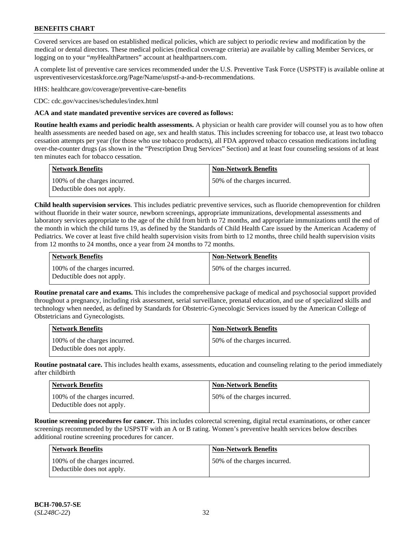Covered services are based on established medical policies, which are subject to periodic review and modification by the medical or dental directors. These medical policies (medical coverage criteria) are available by calling Member Services, or logging on to your "*my*HealthPartners" account at [healthpartners.com.](http://www.healthpartners.com/)

A complete list of preventive care services recommended under the U.S. Preventive Task Force (USPSTF) is available online at [uspreventiveservicestaskforce.org/Page/Name/uspstf-a-and-b-recommendations.](https://www.uspreventiveservicestaskforce.org/Page/Name/uspstf-a-and-b-recommendations-by-date/)

HHS: [healthcare.gov/coverage/preventive-care-benefits](https://www.healthcare.gov/coverage/preventive-care-benefits/)

CDC: [cdc.gov/vaccines/schedules/index.html](https://www.cdc.gov/vaccines/schedules/index.html)

### **ACA and state mandated preventive services are covered as follows:**

**Routine health exams and periodic health assessments.** A physician or health care provider will counsel you as to how often health assessments are needed based on age, sex and health status. This includes screening for tobacco use, at least two tobacco cessation attempts per year (for those who use tobacco products), all FDA approved tobacco cessation medications including over-the-counter drugs (as shown in the "Prescription Drug Services" Section) and at least four counseling sessions of at least ten minutes each for tobacco cessation.

| Network Benefits                                            | <b>Non-Network Benefits</b>  |
|-------------------------------------------------------------|------------------------------|
| 100% of the charges incurred.<br>Deductible does not apply. | 50% of the charges incurred. |

**Child health supervision services**. This includes pediatric preventive services, such as fluoride chemoprevention for children without fluoride in their water source, newborn screenings, appropriate immunizations, developmental assessments and laboratory services appropriate to the age of the child from birth to 72 months, and appropriate immunizations until the end of the month in which the child turns 19, as defined by the Standards of Child Health Care issued by the American Academy of Pediatrics. We cover at least five child health supervision visits from birth to 12 months, three child health supervision visits from 12 months to 24 months, once a year from 24 months to 72 months.

| Network Benefits                                            | <b>Non-Network Benefits</b>  |
|-------------------------------------------------------------|------------------------------|
| 100% of the charges incurred.<br>Deductible does not apply. | 50% of the charges incurred. |

**Routine prenatal care and exams.** This includes the comprehensive package of medical and psychosocial support provided throughout a pregnancy, including risk assessment, serial surveillance, prenatal education, and use of specialized skills and technology when needed, as defined by Standards for Obstetric-Gynecologic Services issued by the American College of Obstetricians and Gynecologists.

| <b>Network Benefits</b>                                     | <b>Non-Network Benefits</b>   |
|-------------------------------------------------------------|-------------------------------|
| 100% of the charges incurred.<br>Deductible does not apply. | 150% of the charges incurred. |

**Routine postnatal care.** This includes health exams, assessments, education and counseling relating to the period immediately after childbirth

| <b>Network Benefits</b>                                     | <b>Non-Network Benefits</b>  |
|-------------------------------------------------------------|------------------------------|
| 100% of the charges incurred.<br>Deductible does not apply. | 50% of the charges incurred. |

**Routine screening procedures for cancer.** This includes colorectal screening, digital rectal examinations, or other cancer screenings recommended by the USPSTF with an A or B rating. Women's preventive health services below describes additional routine screening procedures for cancer.

| <b>Network Benefits</b>                                     | <b>Non-Network Benefits</b>  |
|-------------------------------------------------------------|------------------------------|
| 100% of the charges incurred.<br>Deductible does not apply. | 50% of the charges incurred. |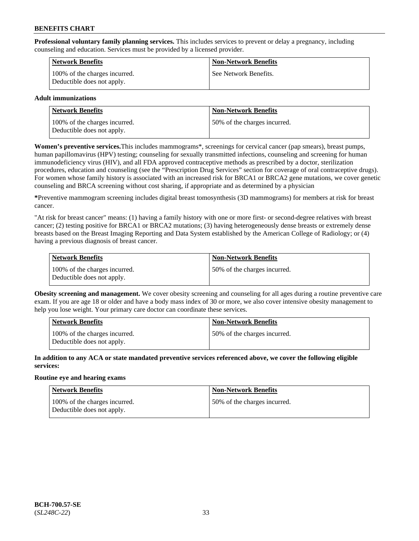**Professional voluntary family planning services.** This includes services to prevent or delay a pregnancy, including counseling and education. Services must be provided by a licensed provider.

| <b>Network Benefits</b>                                     | <b>Non-Network Benefits</b> |
|-------------------------------------------------------------|-----------------------------|
| 100% of the charges incurred.<br>Deductible does not apply. | See Network Benefits.       |

### **Adult immunizations**

| <b>Network Benefits</b>                                     | <b>Non-Network Benefits</b>   |
|-------------------------------------------------------------|-------------------------------|
| 100% of the charges incurred.<br>Deductible does not apply. | 150% of the charges incurred. |

**Women's preventive services.**This includes mammograms\*, screenings for cervical cancer (pap smears), breast pumps, human papillomavirus (HPV) testing; counseling for sexually transmitted infections, counseling and screening for human immunodeficiency virus (HIV), and all FDA approved contraceptive methods as prescribed by a doctor, sterilization procedures, education and counseling (see the "Prescription Drug Services" section for coverage of oral contraceptive drugs). For women whose family history is associated with an increased risk for BRCA1 or BRCA2 gene mutations, we cover genetic counseling and BRCA screening without cost sharing, if appropriate and as determined by a physician

**\***Preventive mammogram screening includes digital breast tomosynthesis (3D mammograms) for members at risk for breast cancer.

"At risk for breast cancer" means: (1) having a family history with one or more first- or second-degree relatives with breast cancer; (2) testing positive for BRCA1 or BRCA2 mutations; (3) having heterogeneously dense breasts or extremely dense breasts based on the Breast Imaging Reporting and Data System established by the American College of Radiology; or (4) having a previous diagnosis of breast cancer.

| Network Benefits                                            | <b>Non-Network Benefits</b>  |
|-------------------------------------------------------------|------------------------------|
| 100% of the charges incurred.<br>Deductible does not apply. | 50% of the charges incurred. |

**Obesity screening and management.** We cover obesity screening and counseling for all ages during a routine preventive care exam. If you are age 18 or older and have a body mass index of 30 or more, we also cover intensive obesity management to help you lose weight. Your primary care doctor can coordinate these services.

| <b>Network Benefits</b>                                     | <b>Non-Network Benefits</b>   |
|-------------------------------------------------------------|-------------------------------|
| 100% of the charges incurred.<br>Deductible does not apply. | 150% of the charges incurred. |

**In addition to any ACA or state mandated preventive services referenced above, we cover the following eligible services:**

### **Routine eye and hearing exams**

| Network Benefits                                            | <b>Non-Network Benefits</b>  |
|-------------------------------------------------------------|------------------------------|
| 100% of the charges incurred.<br>Deductible does not apply. | 50% of the charges incurred. |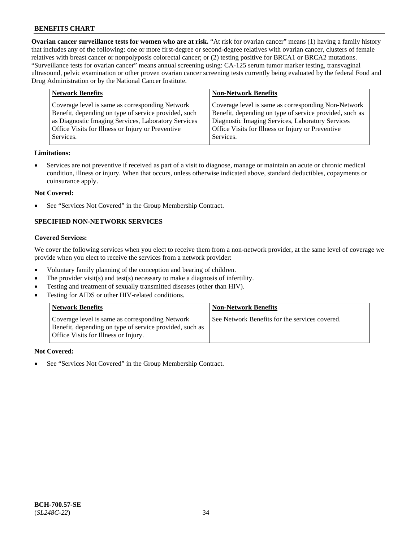**Ovarian cancer surveillance tests for women who are at risk.** "At risk for ovarian cancer" means (1) having a family history that includes any of the following: one or more first-degree or second-degree relatives with ovarian cancer, clusters of female relatives with breast cancer or nonpolyposis colorectal cancer; or (2) testing positive for BRCA1 or BRCA2 mutations. "Surveillance tests for ovarian cancer" means annual screening using: CA-125 serum tumor marker testing, transvaginal ultrasound, pelvic examination or other proven ovarian cancer screening tests currently being evaluated by the federal Food and Drug Administration or by the National Cancer Institute.

| Coverage level is same as corresponding Network                                                                                                                                                                                             | <b>Network Benefits</b>                              | <b>Non-Network Benefits</b>                                                                                    |
|---------------------------------------------------------------------------------------------------------------------------------------------------------------------------------------------------------------------------------------------|------------------------------------------------------|----------------------------------------------------------------------------------------------------------------|
| as Diagnostic Imaging Services, Laboratory Services<br>Diagnostic Imaging Services, Laboratory Services<br>Office Visits for Illness or Injury or Preventive<br>Office Visits for Illness or Injury or Preventive<br>Services.<br>Services. | Benefit, depending on type of service provided, such | Coverage level is same as corresponding Non-Network<br>Benefit, depending on type of service provided, such as |

#### **Limitations:**

• Services are not preventive if received as part of a visit to diagnose, manage or maintain an acute or chronic medical condition, illness or injury. When that occurs, unless otherwise indicated above, standard deductibles, copayments or coinsurance apply.

#### **Not Covered:**

See "Services Not Covered" in the Group Membership Contract.

# **SPECIFIED NON-NETWORK SERVICES**

# **Covered Services:**

We cover the following services when you elect to receive them from a non-network provider, at the same level of coverage we provide when you elect to receive the services from a network provider:

- Voluntary family planning of the conception and bearing of children.
- The provider visit(s) and test(s) necessary to make a diagnosis of infertility.
- Testing and treatment of sexually transmitted diseases (other than HIV).
- Testing for AIDS or other HIV-related conditions.

| <b>Network Benefits</b>                                                                                                                            | <b>Non-Network Benefits</b>                    |
|----------------------------------------------------------------------------------------------------------------------------------------------------|------------------------------------------------|
| Coverage level is same as corresponding Network<br>Benefit, depending on type of service provided, such as<br>Office Visits for Illness or Injury. | See Network Benefits for the services covered. |

#### **Not Covered:**

See "Services Not Covered" in the Group Membership Contract.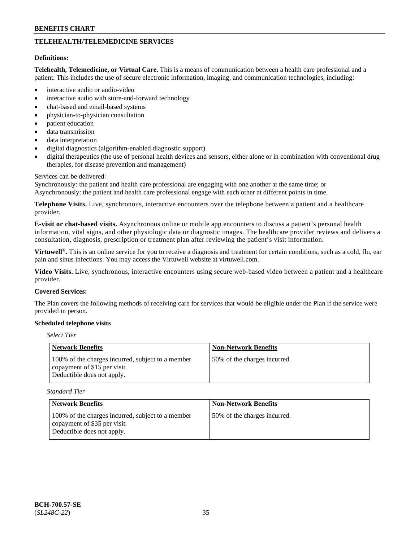# **TELEHEALTH/TELEMEDICINE SERVICES**

#### **Definitions:**

**Telehealth, Telemedicine, or Virtual Care.** This is a means of communication between a health care professional and a patient. This includes the use of secure electronic information, imaging, and communication technologies, including:

- interactive audio or audio-video
- interactive audio with store-and-forward technology
- chat-based and email-based systems
- physician-to-physician consultation
- patient education
- data transmission
- data interpretation
- digital diagnostics (algorithm-enabled diagnostic support)
- digital therapeutics (the use of personal health devices and sensors, either alone or in combination with conventional drug therapies, for disease prevention and management)

#### Services can be delivered:

Synchronously: the patient and health care professional are engaging with one another at the same time; or Asynchronously: the patient and health care professional engage with each other at different points in time.

**Telephone Visits.** Live, synchronous, interactive encounters over the telephone between a patient and a healthcare provider.

**E-visit or chat-based visits.** Asynchronous online or mobile app encounters to discuss a patient's personal health information, vital signs, and other physiologic data or diagnostic images. The healthcare provider reviews and delivers a consultation, diagnosis, prescription or treatment plan after reviewing the patient's visit information.

**Virtuwell<sup>®</sup>**. This is an online service for you to receive a diagnosis and treatment for certain conditions, such as a cold, flu, ear pain and sinus infections. You may access the Virtuwell website at [virtuwell.com.](https://www.virtuwell.com/)

**Video Visits.** Live, synchronous, interactive encounters using secure web-based video between a patient and a healthcare provider.

#### **Covered Services:**

The Plan covers the following methods of receiving care for services that would be eligible under the Plan if the service were provided in person.

#### **Scheduled telephone visits**

### *Select Tier*

| <b>Network Benefits</b>                                                                                         | <b>Non-Network Benefits</b>  |
|-----------------------------------------------------------------------------------------------------------------|------------------------------|
| 100% of the charges incurred, subject to a member<br>copayment of \$15 per visit.<br>Deductible does not apply. | 50% of the charges incurred. |

*Standard Tier*

| <b>Network Benefits</b>                                                                                         | <b>Non-Network Benefits</b>  |
|-----------------------------------------------------------------------------------------------------------------|------------------------------|
| 100% of the charges incurred, subject to a member<br>copayment of \$35 per visit.<br>Deductible does not apply. | 50% of the charges incurred. |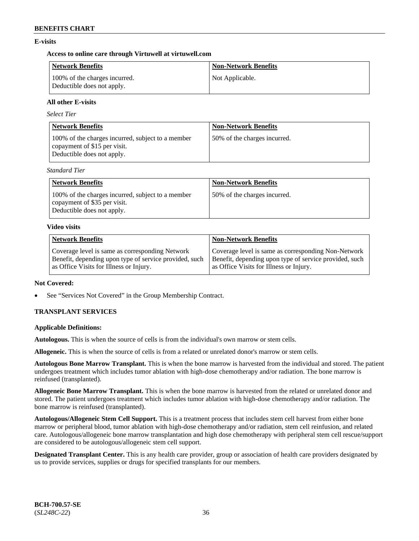### **E-visits**

### **Access to online care through Virtuwell at [virtuwell.com](https://www.virtuwell.com/)**

| <b>Network Benefits</b>                                     | <b>Non-Network Benefits</b> |
|-------------------------------------------------------------|-----------------------------|
| 100% of the charges incurred.<br>Deductible does not apply. | Not Applicable.             |

### **All other E-visits**

*Select Tier*

| <b>Network Benefits</b>                                                                                         | <b>Non-Network Benefits</b>  |
|-----------------------------------------------------------------------------------------------------------------|------------------------------|
| 100% of the charges incurred, subject to a member<br>copayment of \$15 per visit.<br>Deductible does not apply. | 50% of the charges incurred. |

*Standard Tier*

| <b>Network Benefits</b>                                                                                         | <b>Non-Network Benefits</b>  |
|-----------------------------------------------------------------------------------------------------------------|------------------------------|
| 100% of the charges incurred, subject to a member<br>copayment of \$35 per visit.<br>Deductible does not apply. | 50% of the charges incurred. |

#### **Video visits**

| <b>Network Benefits</b>                                | <b>Non-Network Benefits</b>                            |
|--------------------------------------------------------|--------------------------------------------------------|
| Coverage level is same as corresponding Network        | Coverage level is same as corresponding Non-Network    |
| Benefit, depending upon type of service provided, such | Benefit, depending upon type of service provided, such |
| as Office Visits for Illness or Injury.                | as Office Visits for Illness or Injury.                |

### **Not Covered:**

See "Services Not Covered" in the Group Membership Contract.

# **TRANSPLANT SERVICES**

### **Applicable Definitions:**

**Autologous.** This is when the source of cells is from the individual's own marrow or stem cells.

**Allogeneic.** This is when the source of cells is from a related or unrelated donor's marrow or stem cells.

**Autologous Bone Marrow Transplant.** This is when the bone marrow is harvested from the individual and stored. The patient undergoes treatment which includes tumor ablation with high-dose chemotherapy and/or radiation. The bone marrow is reinfused (transplanted).

**Allogeneic Bone Marrow Transplant.** This is when the bone marrow is harvested from the related or unrelated donor and stored. The patient undergoes treatment which includes tumor ablation with high-dose chemotherapy and/or radiation. The bone marrow is reinfused (transplanted).

**Autologous/Allogeneic Stem Cell Support.** This is a treatment process that includes stem cell harvest from either bone marrow or peripheral blood, tumor ablation with high-dose chemotherapy and/or radiation, stem cell reinfusion, and related care. Autologous/allogeneic bone marrow transplantation and high dose chemotherapy with peripheral stem cell rescue/support are considered to be autologous/allogeneic stem cell support.

**Designated Transplant Center.** This is any health care provider, group or association of health care providers designated by us to provide services, supplies or drugs for specified transplants for our members.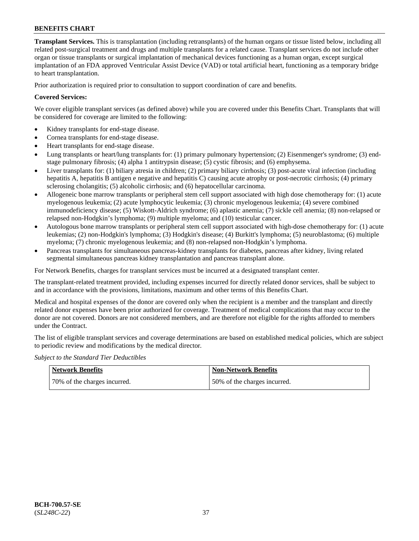**Transplant Services.** This is transplantation (including retransplants) of the human organs or tissue listed below, including all related post-surgical treatment and drugs and multiple transplants for a related cause. Transplant services do not include other organ or tissue transplants or surgical implantation of mechanical devices functioning as a human organ, except surgical implantation of an FDA approved Ventricular Assist Device (VAD) or total artificial heart, functioning as a temporary bridge to heart transplantation.

Prior authorization is required prior to consultation to support coordination of care and benefits.

### **Covered Services:**

We cover eligible transplant services (as defined above) while you are covered under this Benefits Chart. Transplants that will be considered for coverage are limited to the following:

- Kidney transplants for end-stage disease.
- Cornea transplants for end-stage disease.
- Heart transplants for end-stage disease.
- Lung transplants or heart/lung transplants for: (1) primary pulmonary hypertension; (2) Eisenmenger's syndrome; (3) endstage pulmonary fibrosis; (4) alpha 1 antitrypsin disease; (5) cystic fibrosis; and (6) emphysema.
- Liver transplants for: (1) biliary atresia in children; (2) primary biliary cirrhosis; (3) post-acute viral infection (including hepatitis A, hepatitis B antigen e negative and hepatitis C) causing acute atrophy or post-necrotic cirrhosis; (4) primary sclerosing cholangitis; (5) alcoholic cirrhosis; and (6) hepatocellular carcinoma.
- Allogeneic bone marrow transplants or peripheral stem cell support associated with high dose chemotherapy for: (1) acute myelogenous leukemia; (2) acute lymphocytic leukemia; (3) chronic myelogenous leukemia; (4) severe combined immunodeficiency disease; (5) Wiskott-Aldrich syndrome; (6) aplastic anemia; (7) sickle cell anemia; (8) non-relapsed or relapsed non-Hodgkin's lymphoma; (9) multiple myeloma; and (10) testicular cancer.
- Autologous bone marrow transplants or peripheral stem cell support associated with high-dose chemotherapy for: (1) acute leukemias; (2) non-Hodgkin's lymphoma; (3) Hodgkin's disease; (4) Burkitt's lymphoma; (5) neuroblastoma; (6) multiple myeloma; (7) chronic myelogenous leukemia; and (8) non-relapsed non-Hodgkin's lymphoma.
- Pancreas transplants for simultaneous pancreas-kidney transplants for diabetes, pancreas after kidney, living related segmental simultaneous pancreas kidney transplantation and pancreas transplant alone.

For Network Benefits, charges for transplant services must be incurred at a designated transplant center.

The transplant-related treatment provided, including expenses incurred for directly related donor services, shall be subject to and in accordance with the provisions, limitations, maximum and other terms of this Benefits Chart.

Medical and hospital expenses of the donor are covered only when the recipient is a member and the transplant and directly related donor expenses have been prior authorized for coverage. Treatment of medical complications that may occur to the donor are not covered. Donors are not considered members, and are therefore not eligible for the rights afforded to members under the Contract.

The list of eligible transplant services and coverage determinations are based on established medical policies, which are subject to periodic review and modifications by the medical director*.*

*Subject to the Standard Tier Deductibles*

| <b>Network Benefits</b>      | <b>Non-Network Benefits</b>  |
|------------------------------|------------------------------|
| 70% of the charges incurred. | 50% of the charges incurred. |